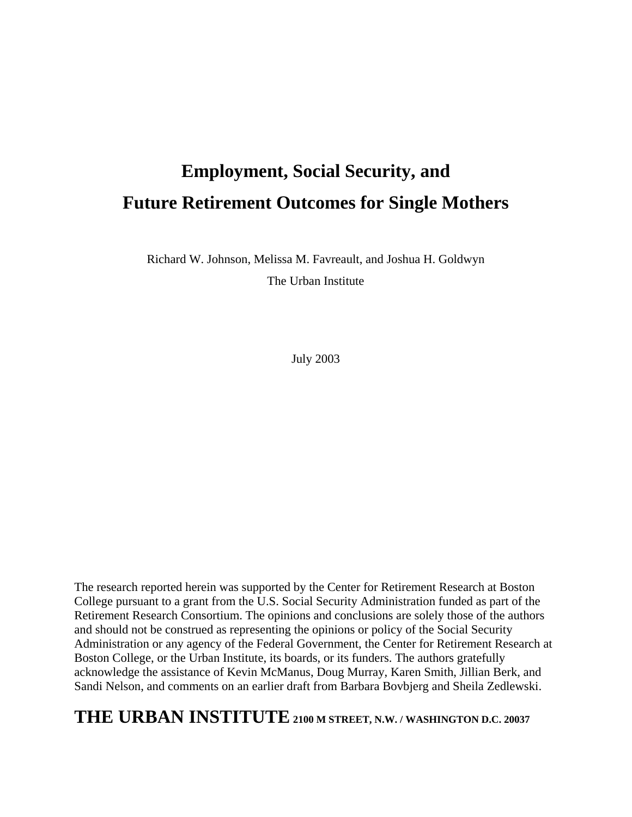Richard W. Johnson, Melissa M. Favreault, and Joshua H. Goldwyn

The Urban Institute

July 2003

The research reported herein was supported by the Center for Retirement Research at Boston College pursuant to a grant from the U.S. Social Security Administration funded as part of the Retirement Research Consortium. The opinions and conclusions are solely those of the authors and should not be construed as representing the opinions or policy of the Social Security Administration or any agency of the Federal Government, the Center for Retirement Research at Boston College, or the Urban Institute, its boards, or its funders. The authors gratefully acknowledge the assistance of Kevin McManus, Doug Murray, Karen Smith, Jillian Berk, and Sandi Nelson, and comments on an earlier draft from Barbara Bovbjerg and Sheila Zedlewski.

# **THE URBAN INSTITUTE 2100 M STREET, N.W. / WASHINGTON D.C. 20037**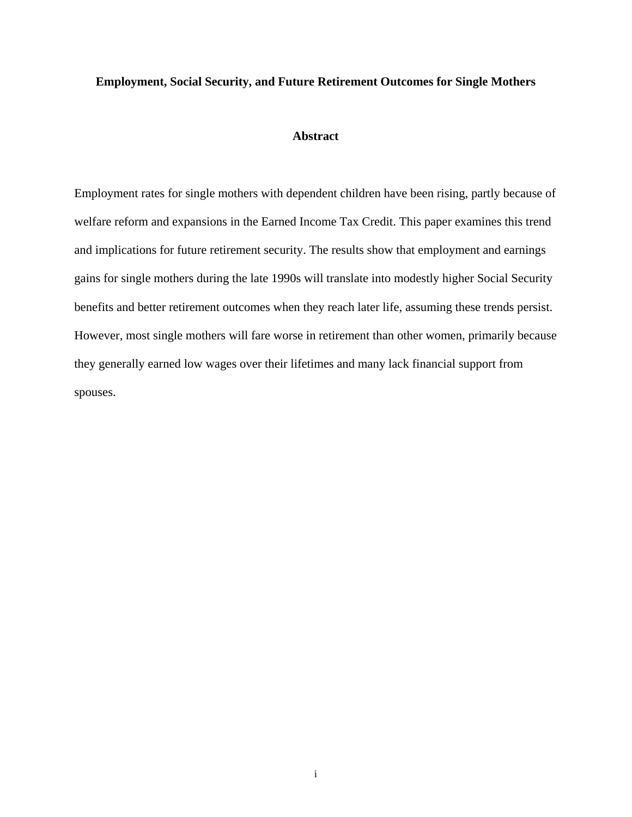# **Abstract**

Employment rates for single mothers with dependent children have been rising, partly because of welfare reform and expansions in the Earned Income Tax Credit. This paper examines this trend and implications for future retirement security. The results show that employment and earnings gains for single mothers during the late 1990s will translate into modestly higher Social Security benefits and better retirement outcomes when they reach later life, assuming these trends persist. However, most single mothers will fare worse in retirement than other women, primarily because they generally earned low wages over their lifetimes and many lack financial support from spouses.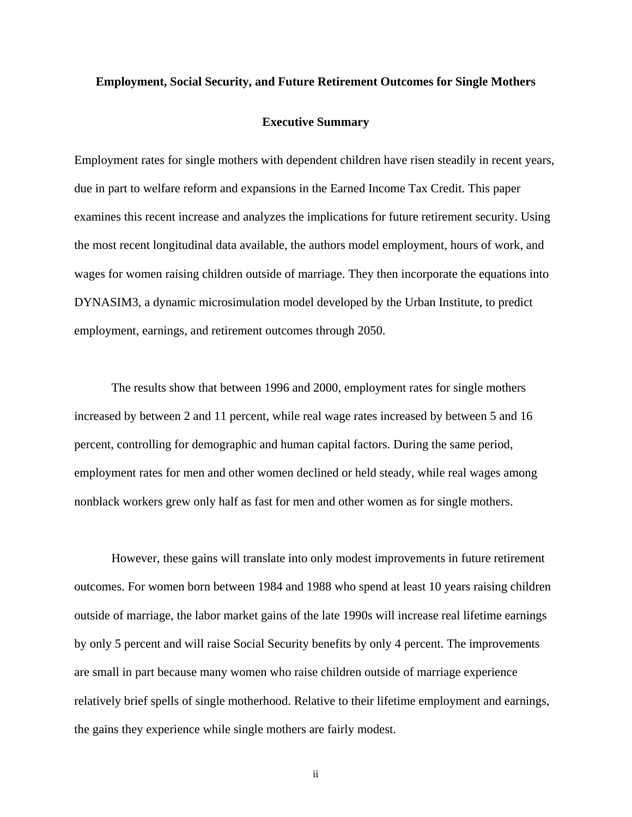# **Executive Summary**

Employment rates for single mothers with dependent children have risen steadily in recent years, due in part to welfare reform and expansions in the Earned Income Tax Credit. This paper examines this recent increase and analyzes the implications for future retirement security. Using the most recent longitudinal data available, the authors model employment, hours of work, and wages for women raising children outside of marriage. They then incorporate the equations into DYNASIM3, a dynamic microsimulation model developed by the Urban Institute, to predict employment, earnings, and retirement outcomes through 2050.

The results show that between 1996 and 2000, employment rates for single mothers increased by between 2 and 11 percent, while real wage rates increased by between 5 and 16 percent, controlling for demographic and human capital factors. During the same period, employment rates for men and other women declined or held steady, while real wages among nonblack workers grew only half as fast for men and other women as for single mothers.

However, these gains will translate into only modest improvements in future retirement outcomes. For women born between 1984 and 1988 who spend at least 10 years raising children outside of marriage, the labor market gains of the late 1990s will increase real lifetime earnings by only 5 percent and will raise Social Security benefits by only 4 percent. The improvements are small in part because many women who raise children outside of marriage experience relatively brief spells of single motherhood. Relative to their lifetime employment and earnings, the gains they experience while single mothers are fairly modest.

ii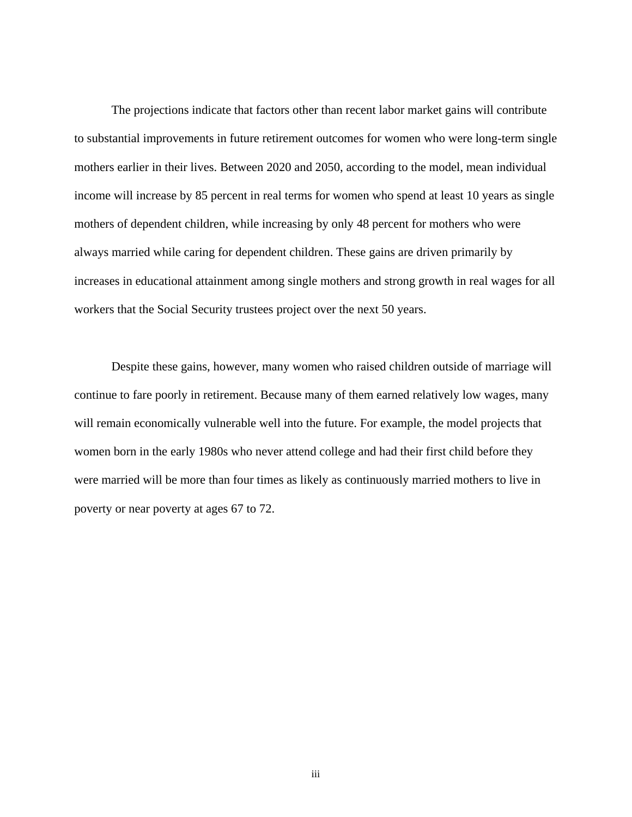The projections indicate that factors other than recent labor market gains will contribute to substantial improvements in future retirement outcomes for women who were long-term single mothers earlier in their lives. Between 2020 and 2050, according to the model, mean individual income will increase by 85 percent in real terms for women who spend at least 10 years as single mothers of dependent children, while increasing by only 48 percent for mothers who were always married while caring for dependent children. These gains are driven primarily by increases in educational attainment among single mothers and strong growth in real wages for all workers that the Social Security trustees project over the next 50 years.

Despite these gains, however, many women who raised children outside of marriage will continue to fare poorly in retirement. Because many of them earned relatively low wages, many will remain economically vulnerable well into the future. For example, the model projects that women born in the early 1980s who never attend college and had their first child before they were married will be more than four times as likely as continuously married mothers to live in poverty or near poverty at ages 67 to 72.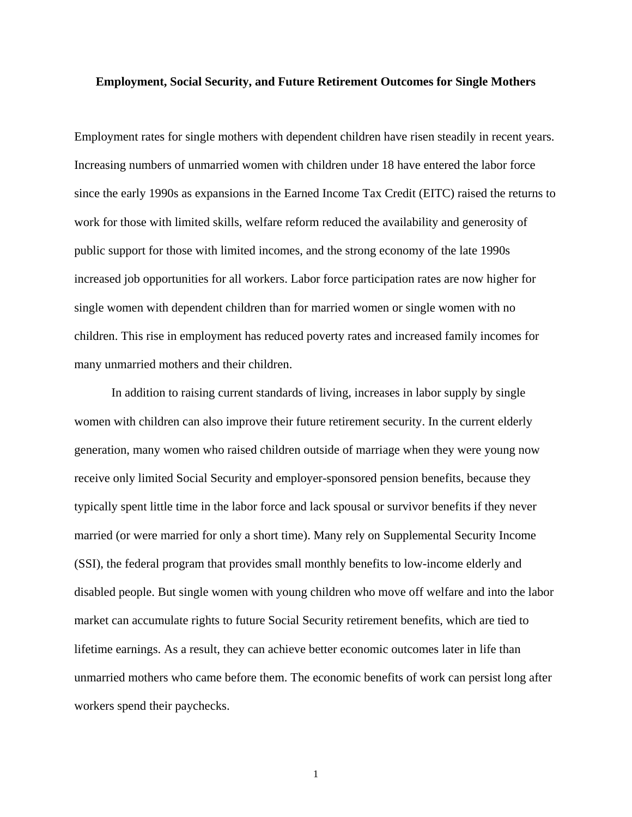Employment rates for single mothers with dependent children have risen steadily in recent years. Increasing numbers of unmarried women with children under 18 have entered the labor force since the early 1990s as expansions in the Earned Income Tax Credit (EITC) raised the returns to work for those with limited skills, welfare reform reduced the availability and generosity of public support for those with limited incomes, and the strong economy of the late 1990s increased job opportunities for all workers. Labor force participation rates are now higher for single women with dependent children than for married women or single women with no children. This rise in employment has reduced poverty rates and increased family incomes for many unmarried mothers and their children.

In addition to raising current standards of living, increases in labor supply by single women with children can also improve their future retirement security. In the current elderly generation, many women who raised children outside of marriage when they were young now receive only limited Social Security and employer-sponsored pension benefits, because they typically spent little time in the labor force and lack spousal or survivor benefits if they never married (or were married for only a short time). Many rely on Supplemental Security Income (SSI), the federal program that provides small monthly benefits to low-income elderly and disabled people. But single women with young children who move off welfare and into the labor market can accumulate rights to future Social Security retirement benefits, which are tied to lifetime earnings. As a result, they can achieve better economic outcomes later in life than unmarried mothers who came before them. The economic benefits of work can persist long after workers spend their paychecks.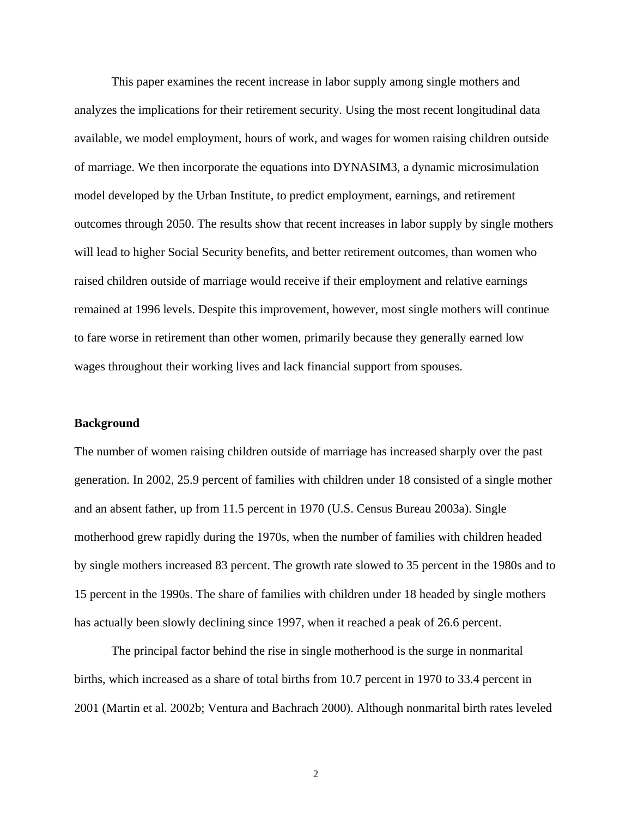This paper examines the recent increase in labor supply among single mothers and analyzes the implications for their retirement security. Using the most recent longitudinal data available, we model employment, hours of work, and wages for women raising children outside of marriage. We then incorporate the equations into DYNASIM3, a dynamic microsimulation model developed by the Urban Institute, to predict employment, earnings, and retirement outcomes through 2050. The results show that recent increases in labor supply by single mothers will lead to higher Social Security benefits, and better retirement outcomes, than women who raised children outside of marriage would receive if their employment and relative earnings remained at 1996 levels. Despite this improvement, however, most single mothers will continue to fare worse in retirement than other women, primarily because they generally earned low wages throughout their working lives and lack financial support from spouses.

### **Background**

The number of women raising children outside of marriage has increased sharply over the past generation. In 2002, 25.9 percent of families with children under 18 consisted of a single mother and an absent father, up from 11.5 percent in 1970 (U.S. Census Bureau 2003a). Single motherhood grew rapidly during the 1970s, when the number of families with children headed by single mothers increased 83 percent. The growth rate slowed to 35 percent in the 1980s and to 15 percent in the 1990s. The share of families with children under 18 headed by single mothers has actually been slowly declining since 1997, when it reached a peak of 26.6 percent.

The principal factor behind the rise in single motherhood is the surge in nonmarital births, which increased as a share of total births from 10.7 percent in 1970 to 33.4 percent in 2001 (Martin et al. 2002b; Ventura and Bachrach 2000). Although nonmarital birth rates leveled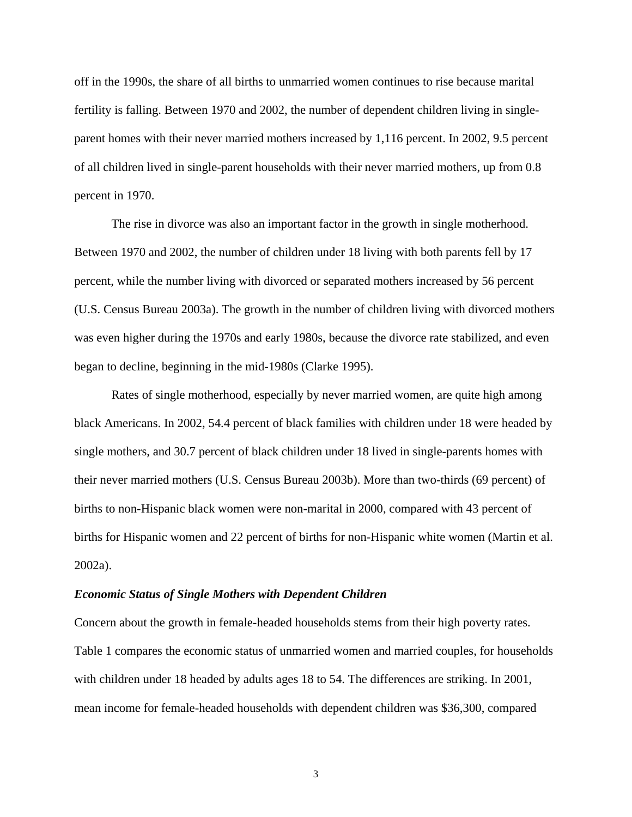off in the 1990s, the share of all births to unmarried women continues to rise because marital fertility is falling. Between 1970 and 2002, the number of dependent children living in singleparent homes with their never married mothers increased by 1,116 percent. In 2002, 9.5 percent of all children lived in single-parent households with their never married mothers, up from 0.8 percent in 1970.

The rise in divorce was also an important factor in the growth in single motherhood. Between 1970 and 2002, the number of children under 18 living with both parents fell by 17 percent, while the number living with divorced or separated mothers increased by 56 percent (U.S. Census Bureau 2003a). The growth in the number of children living with divorced mothers was even higher during the 1970s and early 1980s, because the divorce rate stabilized, and even began to decline, beginning in the mid-1980s (Clarke 1995).

Rates of single motherhood, especially by never married women, are quite high among black Americans. In 2002, 54.4 percent of black families with children under 18 were headed by single mothers, and 30.7 percent of black children under 18 lived in single-parents homes with their never married mothers (U.S. Census Bureau 2003b). More than two-thirds (69 percent) of births to non-Hispanic black women were non-marital in 2000, compared with 43 percent of births for Hispanic women and 22 percent of births for non-Hispanic white women (Martin et al. 2002a).

#### *Economic Status of Single Mothers with Dependent Children*

Concern about the growth in female-headed households stems from their high poverty rates. Table 1 compares the economic status of unmarried women and married couples, for households with children under 18 headed by adults ages 18 to 54. The differences are striking. In 2001, mean income for female-headed households with dependent children was \$36,300, compared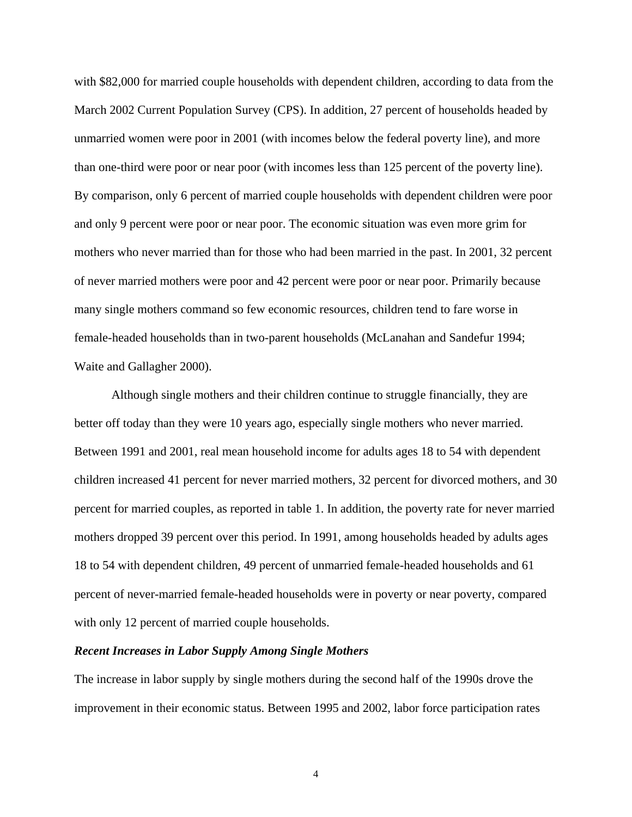with \$82,000 for married couple households with dependent children, according to data from the March 2002 Current Population Survey (CPS). In addition, 27 percent of households headed by unmarried women were poor in 2001 (with incomes below the federal poverty line), and more than one-third were poor or near poor (with incomes less than 125 percent of the poverty line). By comparison, only 6 percent of married couple households with dependent children were poor and only 9 percent were poor or near poor. The economic situation was even more grim for mothers who never married than for those who had been married in the past. In 2001, 32 percent of never married mothers were poor and 42 percent were poor or near poor. Primarily because many single mothers command so few economic resources, children tend to fare worse in female-headed households than in two-parent households (McLanahan and Sandefur 1994; Waite and Gallagher 2000).

Although single mothers and their children continue to struggle financially, they are better off today than they were 10 years ago, especially single mothers who never married. Between 1991 and 2001, real mean household income for adults ages 18 to 54 with dependent children increased 41 percent for never married mothers, 32 percent for divorced mothers, and 30 percent for married couples, as reported in table 1. In addition, the poverty rate for never married mothers dropped 39 percent over this period. In 1991, among households headed by adults ages 18 to 54 with dependent children, 49 percent of unmarried female-headed households and 61 percent of never-married female-headed households were in poverty or near poverty, compared with only 12 percent of married couple households.

# *Recent Increases in Labor Supply Among Single Mothers*

The increase in labor supply by single mothers during the second half of the 1990s drove the improvement in their economic status. Between 1995 and 2002, labor force participation rates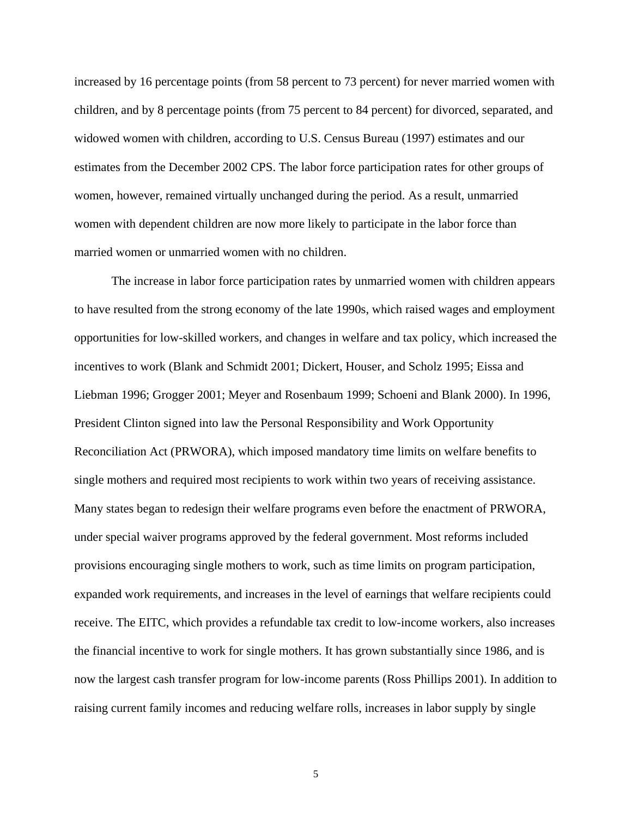increased by 16 percentage points (from 58 percent to 73 percent) for never married women with children, and by 8 percentage points (from 75 percent to 84 percent) for divorced, separated, and widowed women with children, according to U.S. Census Bureau (1997) estimates and our estimates from the December 2002 CPS. The labor force participation rates for other groups of women, however, remained virtually unchanged during the period. As a result, unmarried women with dependent children are now more likely to participate in the labor force than married women or unmarried women with no children.

The increase in labor force participation rates by unmarried women with children appears to have resulted from the strong economy of the late 1990s, which raised wages and employment opportunities for low-skilled workers, and changes in welfare and tax policy, which increased the incentives to work (Blank and Schmidt 2001; Dickert, Houser, and Scholz 1995; Eissa and Liebman 1996; Grogger 2001; Meyer and Rosenbaum 1999; Schoeni and Blank 2000). In 1996, President Clinton signed into law the Personal Responsibility and Work Opportunity Reconciliation Act (PRWORA), which imposed mandatory time limits on welfare benefits to single mothers and required most recipients to work within two years of receiving assistance. Many states began to redesign their welfare programs even before the enactment of PRWORA, under special waiver programs approved by the federal government. Most reforms included provisions encouraging single mothers to work, such as time limits on program participation, expanded work requirements, and increases in the level of earnings that welfare recipients could receive. The EITC, which provides a refundable tax credit to low-income workers, also increases the financial incentive to work for single mothers. It has grown substantially since 1986, and is now the largest cash transfer program for low-income parents (Ross Phillips 2001). In addition to raising current family incomes and reducing welfare rolls, increases in labor supply by single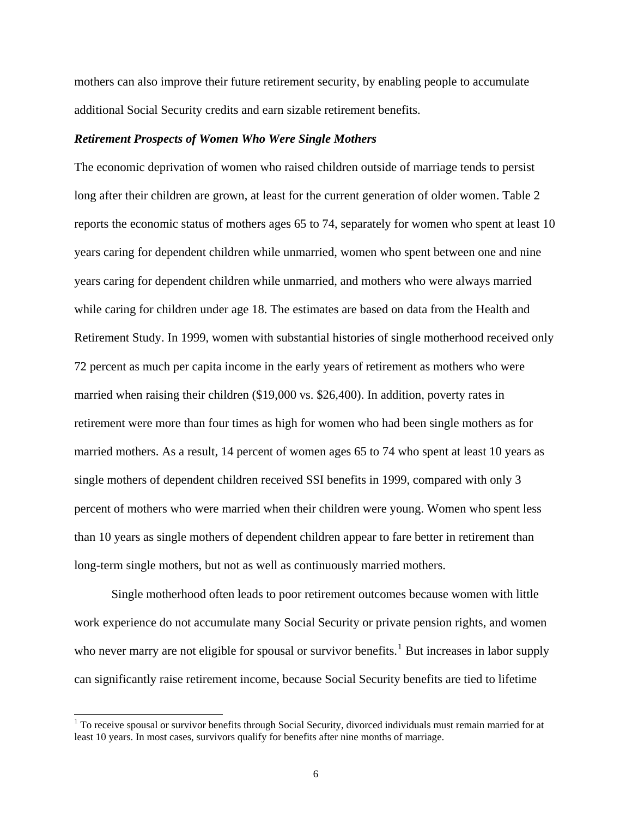<span id="page-9-0"></span>mothers can also improve their future retirement security, by enabling people to accumulate additional Social Security credits and earn sizable retirement benefits.

# *Retirement Prospects of Women Who Were Single Mothers*

The economic deprivation of women who raised children outside of marriage tends to persist long after their children are grown, at least for the current generation of older women. Table 2 reports the economic status of mothers ages 65 to 74, separately for women who spent at least 10 years caring for dependent children while unmarried, women who spent between one and nine years caring for dependent children while unmarried, and mothers who were always married while caring for children under age 18. The estimates are based on data from the Health and Retirement Study. In 1999, women with substantial histories of single motherhood received only 72 percent as much per capita income in the early years of retirement as mothers who were married when raising their children (\$19,000 vs. \$26,400). In addition, poverty rates in retirement were more than four times as high for women who had been single mothers as for married mothers. As a result, 14 percent of women ages 65 to 74 who spent at least 10 years as single mothers of dependent children received SSI benefits in 1999, compared with only 3 percent of mothers who were married when their children were young. Women who spent less than 10 years as single mothers of dependent children appear to fare better in retirement than long-term single mothers, but not as well as continuously married mothers.

Single motherhood often leads to poor retirement outcomes because women with little work experience do not accumulate many Social Security or private pension rights, and women who never marry are not eligible for spousal or survivor benefits.<sup>[1](#page-9-0)</sup> But increases in labor supply can significantly raise retirement income, because Social Security benefits are tied to lifetime

 $\overline{a}$ 

<sup>&</sup>lt;sup>1</sup> To receive spousal or survivor benefits through Social Security, divorced individuals must remain married for at least 10 years. In most cases, survivors qualify for benefits after nine months of marriage.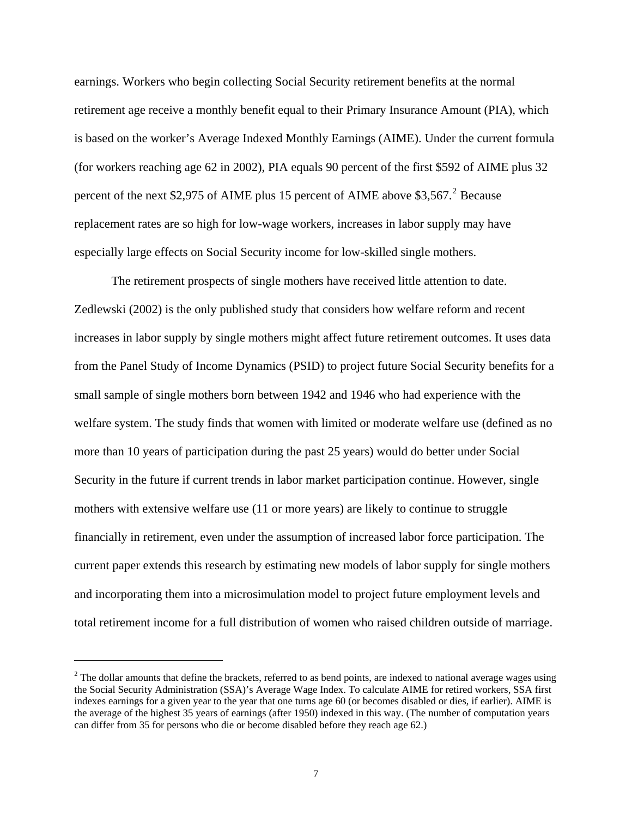<span id="page-10-0"></span>earnings. Workers who begin collecting Social Security retirement benefits at the normal retirement age receive a monthly benefit equal to their Primary Insurance Amount (PIA), which is based on the worker's Average Indexed Monthly Earnings (AIME). Under the current formula (for workers reaching age 62 in 2002), PIA equals 90 percent of the first \$592 of AIME plus 32 percent of the next \$[2](#page-10-0),975 of AIME plus 15 percent of AIME above \$3,567.<sup>2</sup> Because replacement rates are so high for low-wage workers, increases in labor supply may have especially large effects on Social Security income for low-skilled single mothers.

The retirement prospects of single mothers have received little attention to date. Zedlewski (2002) is the only published study that considers how welfare reform and recent increases in labor supply by single mothers might affect future retirement outcomes. It uses data from the Panel Study of Income Dynamics (PSID) to project future Social Security benefits for a small sample of single mothers born between 1942 and 1946 who had experience with the welfare system. The study finds that women with limited or moderate welfare use (defined as no more than 10 years of participation during the past 25 years) would do better under Social Security in the future if current trends in labor market participation continue. However, single mothers with extensive welfare use (11 or more years) are likely to continue to struggle financially in retirement, even under the assumption of increased labor force participation. The current paper extends this research by estimating new models of labor supply for single mothers and incorporating them into a microsimulation model to project future employment levels and total retirement income for a full distribution of women who raised children outside of marriage.

l

 $2^2$  The dollar amounts that define the brackets, referred to as bend points, are indexed to national average wages using the Social Security Administration (SSA)'s Average Wage Index. To calculate AIME for retired workers, SSA first indexes earnings for a given year to the year that one turns age 60 (or becomes disabled or dies, if earlier). AIME is the average of the highest 35 years of earnings (after 1950) indexed in this way. (The number of computation years can differ from 35 for persons who die or become disabled before they reach age 62.)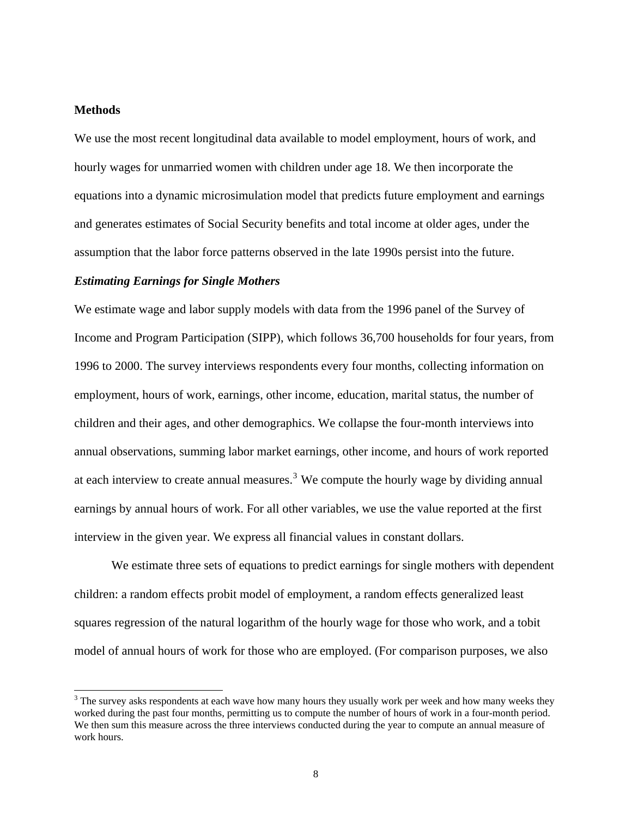# <span id="page-11-0"></span>**Methods**

 $\overline{a}$ 

We use the most recent longitudinal data available to model employment, hours of work, and hourly wages for unmarried women with children under age 18. We then incorporate the equations into a dynamic microsimulation model that predicts future employment and earnings and generates estimates of Social Security benefits and total income at older ages, under the assumption that the labor force patterns observed in the late 1990s persist into the future.

# *Estimating Earnings for Single Mothers*

We estimate wage and labor supply models with data from the 1996 panel of the Survey of Income and Program Participation (SIPP), which follows 36,700 households for four years, from 1996 to 2000. The survey interviews respondents every four months, collecting information on employment, hours of work, earnings, other income, education, marital status, the number of children and their ages, and other demographics. We collapse the four-month interviews into annual observations, summing labor market earnings, other income, and hours of work reported at each interview to create annual measures.<sup>[3](#page-11-0)</sup> We compute the hourly wage by dividing annual earnings by annual hours of work. For all other variables, we use the value reported at the first interview in the given year. We express all financial values in constant dollars.

We estimate three sets of equations to predict earnings for single mothers with dependent children: a random effects probit model of employment, a random effects generalized least squares regression of the natural logarithm of the hourly wage for those who work, and a tobit model of annual hours of work for those who are employed. (For comparison purposes, we also

<sup>&</sup>lt;sup>3</sup> The survey asks respondents at each wave how many hours they usually work per week and how many weeks they worked during the past four months, permitting us to compute the number of hours of work in a four-month period. We then sum this measure across the three interviews conducted during the year to compute an annual measure of work hours.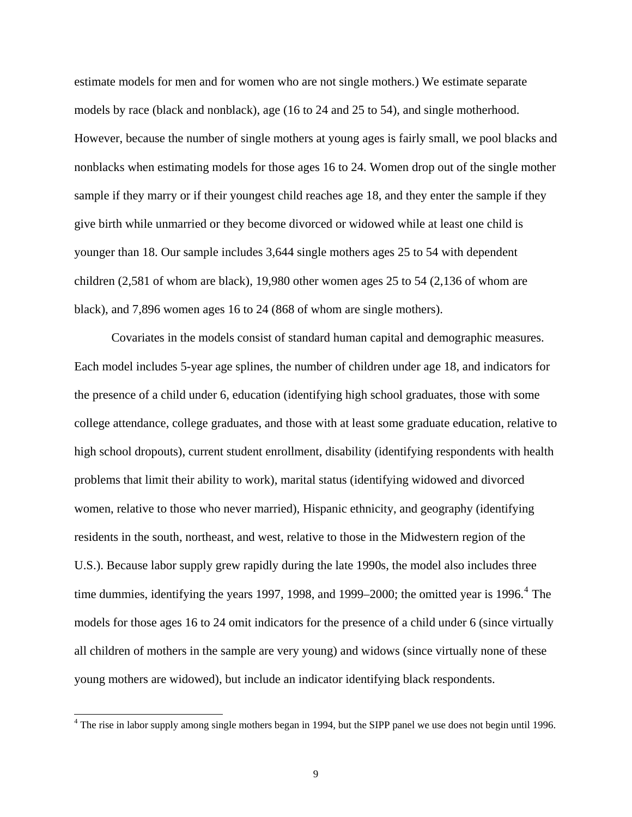<span id="page-12-0"></span>estimate models for men and for women who are not single mothers.) We estimate separate models by race (black and nonblack), age (16 to 24 and 25 to 54), and single motherhood. However, because the number of single mothers at young ages is fairly small, we pool blacks and nonblacks when estimating models for those ages 16 to 24. Women drop out of the single mother sample if they marry or if their youngest child reaches age 18, and they enter the sample if they give birth while unmarried or they become divorced or widowed while at least one child is younger than 18. Our sample includes 3,644 single mothers ages 25 to 54 with dependent children (2,581 of whom are black), 19,980 other women ages 25 to 54 (2,136 of whom are black), and 7,896 women ages 16 to 24 (868 of whom are single mothers).

Covariates in the models consist of standard human capital and demographic measures. Each model includes 5-year age splines, the number of children under age 18, and indicators for the presence of a child under 6, education (identifying high school graduates, those with some college attendance, college graduates, and those with at least some graduate education, relative to high school dropouts), current student enrollment, disability (identifying respondents with health problems that limit their ability to work), marital status (identifying widowed and divorced women, relative to those who never married), Hispanic ethnicity, and geography (identifying residents in the south, northeast, and west, relative to those in the Midwestern region of the U.S.). Because labor supply grew rapidly during the late 1990s, the model also includes three time dummies, identifying the years 1997, 1998, and 1999–2000; the omitted year is 1996. $4$  The models for those ages 16 to 24 omit indicators for the presence of a child under 6 (since virtually all children of mothers in the sample are very young) and widows (since virtually none of these young mothers are widowed), but include an indicator identifying black respondents.

 $\overline{a}$ 

<sup>&</sup>lt;sup>4</sup> The rise in labor supply among single mothers began in 1994, but the SIPP panel we use does not begin until 1996.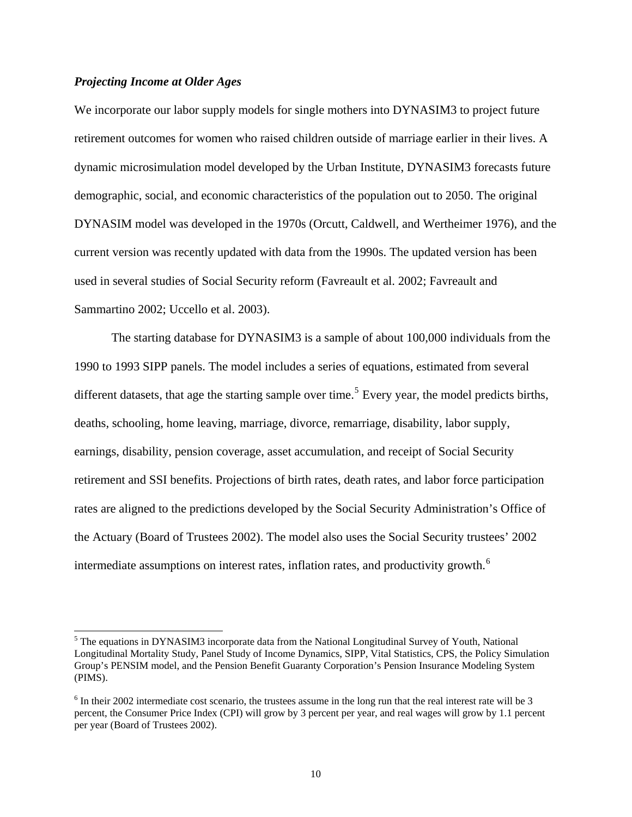# <span id="page-13-0"></span>*Projecting Income at Older Ages*

We incorporate our labor supply models for single mothers into DYNASIM3 to project future retirement outcomes for women who raised children outside of marriage earlier in their lives. A dynamic microsimulation model developed by the Urban Institute, DYNASIM3 forecasts future demographic, social, and economic characteristics of the population out to 2050. The original DYNASIM model was developed in the 1970s (Orcutt, Caldwell, and Wertheimer 1976), and the current version was recently updated with data from the 1990s. The updated version has been used in several studies of Social Security reform (Favreault et al. 2002; Favreault and Sammartino 2002; Uccello et al. 2003).

The starting database for DYNASIM3 is a sample of about 100,000 individuals from the 1990 to 1993 SIPP panels. The model includes a series of equations, estimated from several different datasets, that age the starting sample over time.<sup>[5](#page-13-0)</sup> Every year, the model predicts births, deaths, schooling, home leaving, marriage, divorce, remarriage, disability, labor supply, earnings, disability, pension coverage, asset accumulation, and receipt of Social Security retirement and SSI benefits. Projections of birth rates, death rates, and labor force participation rates are aligned to the predictions developed by the Social Security Administration's Office of the Actuary (Board of Trustees 2002). The model also uses the Social Security trustees' 2002 intermediate assumptions on interest rates, inflation rates, and productivity growth.<sup>[6](#page-13-0)</sup>

<sup>&</sup>lt;sup>5</sup> The equations in DYNASIM3 incorporate data from the National Longitudinal Survey of Youth, National Longitudinal Mortality Study, Panel Study of Income Dynamics, SIPP, Vital Statistics, CPS, the Policy Simulation Group's PENSIM model, and the Pension Benefit Guaranty Corporation's Pension Insurance Modeling System (PIMS).

 $6$  In their 2002 intermediate cost scenario, the trustees assume in the long run that the real interest rate will be 3 percent, the Consumer Price Index (CPI) will grow by 3 percent per year, and real wages will grow by 1.1 percent per year (Board of Trustees 2002).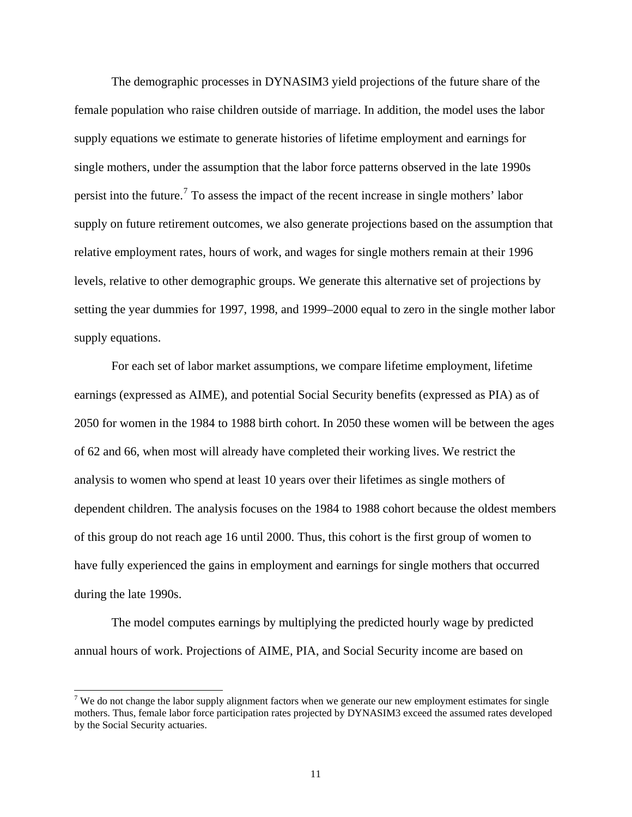<span id="page-14-0"></span>The demographic processes in DYNASIM3 yield projections of the future share of the female population who raise children outside of marriage. In addition, the model uses the labor supply equations we estimate to generate histories of lifetime employment and earnings for single mothers, under the assumption that the labor force patterns observed in the late 1990s persist into the future.<sup>[7](#page-14-0)</sup> To assess the impact of the recent increase in single mothers' labor supply on future retirement outcomes, we also generate projections based on the assumption that relative employment rates, hours of work, and wages for single mothers remain at their 1996 levels, relative to other demographic groups. We generate this alternative set of projections by setting the year dummies for 1997, 1998, and 1999–2000 equal to zero in the single mother labor supply equations.

For each set of labor market assumptions, we compare lifetime employment, lifetime earnings (expressed as AIME), and potential Social Security benefits (expressed as PIA) as of 2050 for women in the 1984 to 1988 birth cohort. In 2050 these women will be between the ages of 62 and 66, when most will already have completed their working lives. We restrict the analysis to women who spend at least 10 years over their lifetimes as single mothers of dependent children. The analysis focuses on the 1984 to 1988 cohort because the oldest members of this group do not reach age 16 until 2000. Thus, this cohort is the first group of women to have fully experienced the gains in employment and earnings for single mothers that occurred during the late 1990s.

The model computes earnings by multiplying the predicted hourly wage by predicted annual hours of work. Projections of AIME, PIA, and Social Security income are based on

 $\overline{a}$ 

<sup>&</sup>lt;sup>7</sup> We do not change the labor supply alignment factors when we generate our new employment estimates for single mothers. Thus, female labor force participation rates projected by DYNASIM3 exceed the assumed rates developed by the Social Security actuaries.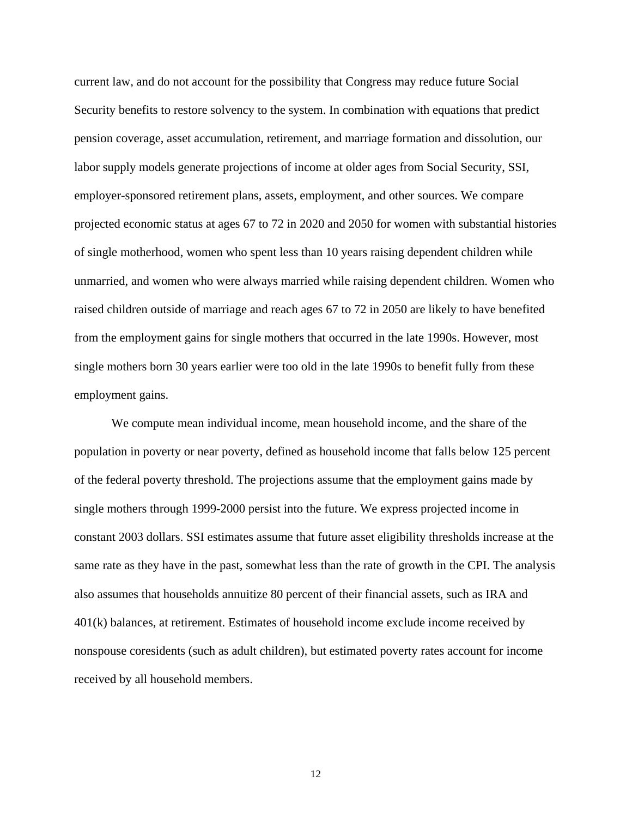current law, and do not account for the possibility that Congress may reduce future Social Security benefits to restore solvency to the system. In combination with equations that predict pension coverage, asset accumulation, retirement, and marriage formation and dissolution, our labor supply models generate projections of income at older ages from Social Security, SSI, employer-sponsored retirement plans, assets, employment, and other sources. We compare projected economic status at ages 67 to 72 in 2020 and 2050 for women with substantial histories of single motherhood, women who spent less than 10 years raising dependent children while unmarried, and women who were always married while raising dependent children. Women who raised children outside of marriage and reach ages 67 to 72 in 2050 are likely to have benefited from the employment gains for single mothers that occurred in the late 1990s. However, most single mothers born 30 years earlier were too old in the late 1990s to benefit fully from these employment gains.

We compute mean individual income, mean household income, and the share of the population in poverty or near poverty, defined as household income that falls below 125 percent of the federal poverty threshold. The projections assume that the employment gains made by single mothers through 1999-2000 persist into the future. We express projected income in constant 2003 dollars. SSI estimates assume that future asset eligibility thresholds increase at the same rate as they have in the past, somewhat less than the rate of growth in the CPI. The analysis also assumes that households annuitize 80 percent of their financial assets, such as IRA and 401(k) balances, at retirement. Estimates of household income exclude income received by nonspouse coresidents (such as adult children), but estimated poverty rates account for income received by all household members.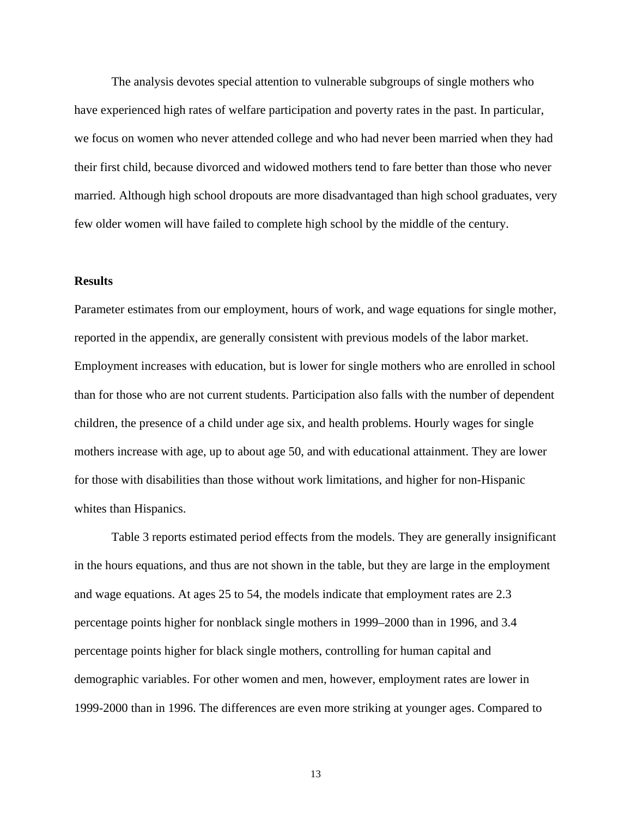The analysis devotes special attention to vulnerable subgroups of single mothers who have experienced high rates of welfare participation and poverty rates in the past. In particular, we focus on women who never attended college and who had never been married when they had their first child, because divorced and widowed mothers tend to fare better than those who never married. Although high school dropouts are more disadvantaged than high school graduates, very few older women will have failed to complete high school by the middle of the century.

# **Results**

Parameter estimates from our employment, hours of work, and wage equations for single mother, reported in the appendix, are generally consistent with previous models of the labor market. Employment increases with education, but is lower for single mothers who are enrolled in school than for those who are not current students. Participation also falls with the number of dependent children, the presence of a child under age six, and health problems. Hourly wages for single mothers increase with age, up to about age 50, and with educational attainment. They are lower for those with disabilities than those without work limitations, and higher for non-Hispanic whites than Hispanics.

Table 3 reports estimated period effects from the models. They are generally insignificant in the hours equations, and thus are not shown in the table, but they are large in the employment and wage equations. At ages 25 to 54, the models indicate that employment rates are 2.3 percentage points higher for nonblack single mothers in 1999–2000 than in 1996, and 3.4 percentage points higher for black single mothers, controlling for human capital and demographic variables. For other women and men, however, employment rates are lower in 1999-2000 than in 1996. The differences are even more striking at younger ages. Compared to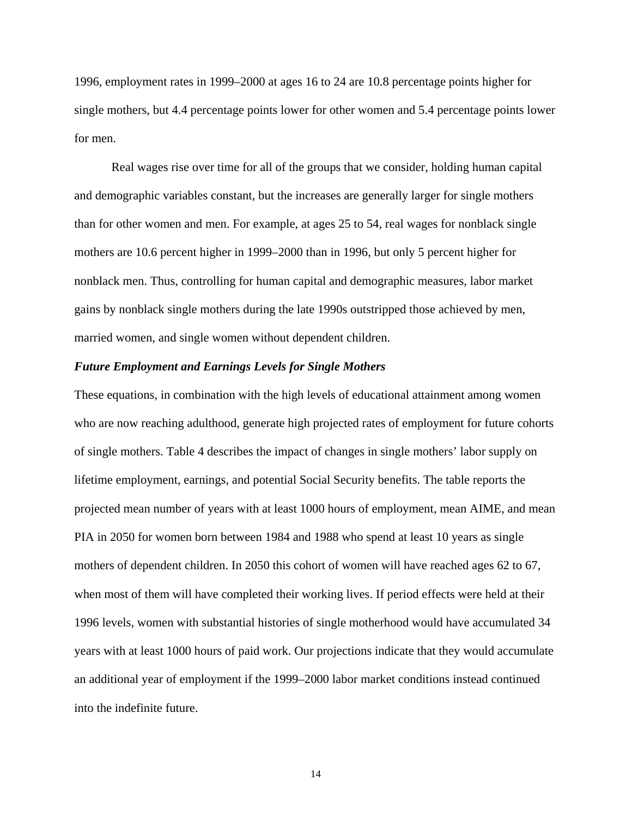1996, employment rates in 1999–2000 at ages 16 to 24 are 10.8 percentage points higher for single mothers, but 4.4 percentage points lower for other women and 5.4 percentage points lower for men.

Real wages rise over time for all of the groups that we consider, holding human capital and demographic variables constant, but the increases are generally larger for single mothers than for other women and men. For example, at ages 25 to 54, real wages for nonblack single mothers are 10.6 percent higher in 1999–2000 than in 1996, but only 5 percent higher for nonblack men. Thus, controlling for human capital and demographic measures, labor market gains by nonblack single mothers during the late 1990s outstripped those achieved by men, married women, and single women without dependent children.

# *Future Employment and Earnings Levels for Single Mothers*

These equations, in combination with the high levels of educational attainment among women who are now reaching adulthood, generate high projected rates of employment for future cohorts of single mothers. Table 4 describes the impact of changes in single mothers' labor supply on lifetime employment, earnings, and potential Social Security benefits. The table reports the projected mean number of years with at least 1000 hours of employment, mean AIME, and mean PIA in 2050 for women born between 1984 and 1988 who spend at least 10 years as single mothers of dependent children. In 2050 this cohort of women will have reached ages 62 to 67, when most of them will have completed their working lives. If period effects were held at their 1996 levels, women with substantial histories of single motherhood would have accumulated 34 years with at least 1000 hours of paid work. Our projections indicate that they would accumulate an additional year of employment if the 1999–2000 labor market conditions instead continued into the indefinite future.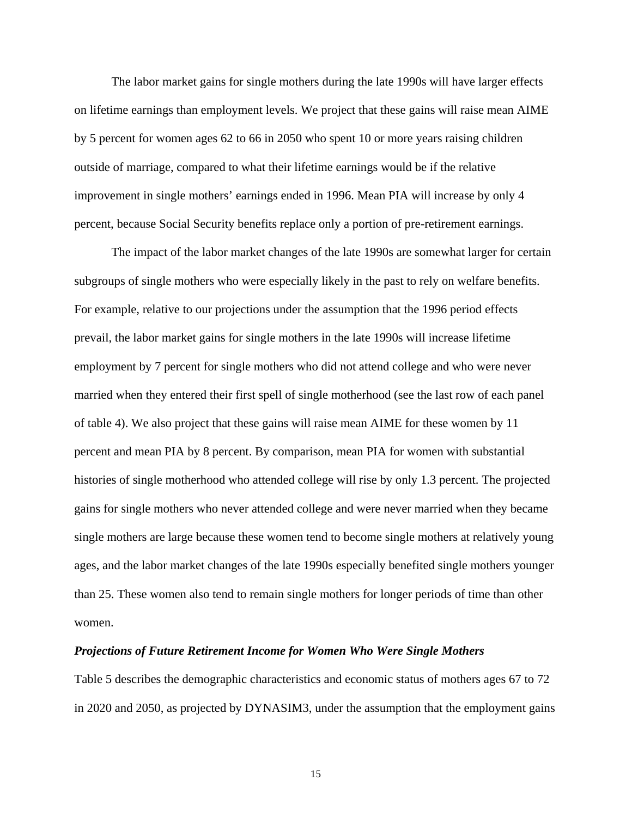The labor market gains for single mothers during the late 1990s will have larger effects on lifetime earnings than employment levels. We project that these gains will raise mean AIME by 5 percent for women ages 62 to 66 in 2050 who spent 10 or more years raising children outside of marriage, compared to what their lifetime earnings would be if the relative improvement in single mothers' earnings ended in 1996. Mean PIA will increase by only 4 percent, because Social Security benefits replace only a portion of pre-retirement earnings.

The impact of the labor market changes of the late 1990s are somewhat larger for certain subgroups of single mothers who were especially likely in the past to rely on welfare benefits. For example, relative to our projections under the assumption that the 1996 period effects prevail, the labor market gains for single mothers in the late 1990s will increase lifetime employment by 7 percent for single mothers who did not attend college and who were never married when they entered their first spell of single motherhood (see the last row of each panel of table 4). We also project that these gains will raise mean AIME for these women by 11 percent and mean PIA by 8 percent. By comparison, mean PIA for women with substantial histories of single motherhood who attended college will rise by only 1.3 percent. The projected gains for single mothers who never attended college and were never married when they became single mothers are large because these women tend to become single mothers at relatively young ages, and the labor market changes of the late 1990s especially benefited single mothers younger than 25. These women also tend to remain single mothers for longer periods of time than other women.

#### *Projections of Future Retirement Income for Women Who Were Single Mothers*

Table 5 describes the demographic characteristics and economic status of mothers ages 67 to 72 in 2020 and 2050, as projected by DYNASIM3, under the assumption that the employment gains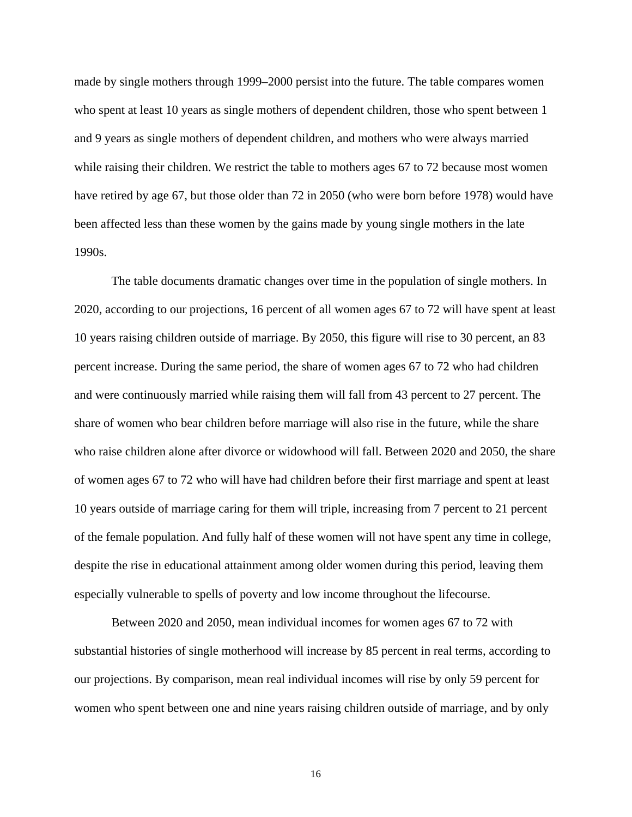made by single mothers through 1999–2000 persist into the future. The table compares women who spent at least 10 years as single mothers of dependent children, those who spent between 1 and 9 years as single mothers of dependent children, and mothers who were always married while raising their children. We restrict the table to mothers ages 67 to 72 because most women have retired by age 67, but those older than 72 in 2050 (who were born before 1978) would have been affected less than these women by the gains made by young single mothers in the late 1990s.

The table documents dramatic changes over time in the population of single mothers. In 2020, according to our projections, 16 percent of all women ages 67 to 72 will have spent at least 10 years raising children outside of marriage. By 2050, this figure will rise to 30 percent, an 83 percent increase. During the same period, the share of women ages 67 to 72 who had children and were continuously married while raising them will fall from 43 percent to 27 percent. The share of women who bear children before marriage will also rise in the future, while the share who raise children alone after divorce or widowhood will fall. Between 2020 and 2050, the share of women ages 67 to 72 who will have had children before their first marriage and spent at least 10 years outside of marriage caring for them will triple, increasing from 7 percent to 21 percent of the female population. And fully half of these women will not have spent any time in college, despite the rise in educational attainment among older women during this period, leaving them especially vulnerable to spells of poverty and low income throughout the lifecourse.

Between 2020 and 2050, mean individual incomes for women ages 67 to 72 with substantial histories of single motherhood will increase by 85 percent in real terms, according to our projections. By comparison, mean real individual incomes will rise by only 59 percent for women who spent between one and nine years raising children outside of marriage, and by only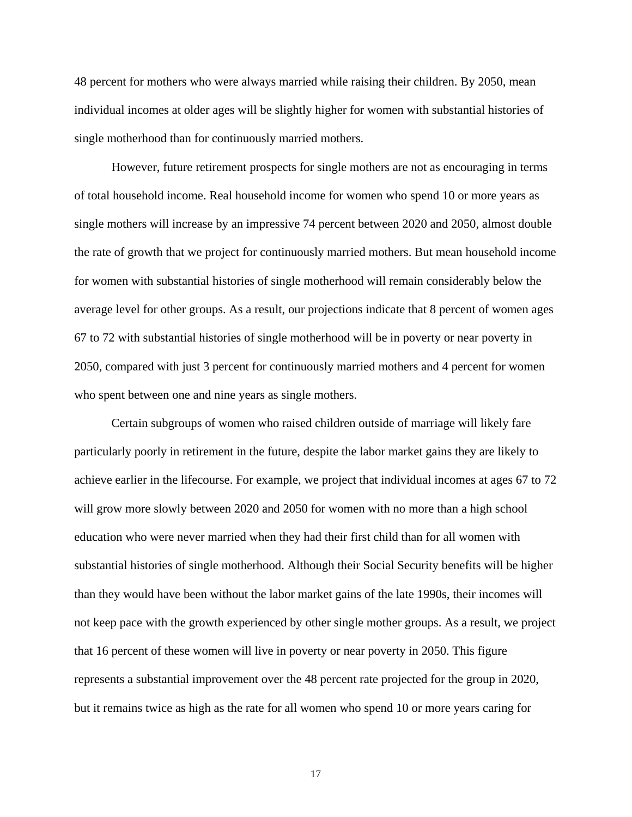48 percent for mothers who were always married while raising their children. By 2050, mean individual incomes at older ages will be slightly higher for women with substantial histories of single motherhood than for continuously married mothers.

However, future retirement prospects for single mothers are not as encouraging in terms of total household income. Real household income for women who spend 10 or more years as single mothers will increase by an impressive 74 percent between 2020 and 2050, almost double the rate of growth that we project for continuously married mothers. But mean household income for women with substantial histories of single motherhood will remain considerably below the average level for other groups. As a result, our projections indicate that 8 percent of women ages 67 to 72 with substantial histories of single motherhood will be in poverty or near poverty in 2050, compared with just 3 percent for continuously married mothers and 4 percent for women who spent between one and nine years as single mothers.

Certain subgroups of women who raised children outside of marriage will likely fare particularly poorly in retirement in the future, despite the labor market gains they are likely to achieve earlier in the lifecourse. For example, we project that individual incomes at ages 67 to 72 will grow more slowly between 2020 and 2050 for women with no more than a high school education who were never married when they had their first child than for all women with substantial histories of single motherhood. Although their Social Security benefits will be higher than they would have been without the labor market gains of the late 1990s, their incomes will not keep pace with the growth experienced by other single mother groups. As a result, we project that 16 percent of these women will live in poverty or near poverty in 2050. This figure represents a substantial improvement over the 48 percent rate projected for the group in 2020, but it remains twice as high as the rate for all women who spend 10 or more years caring for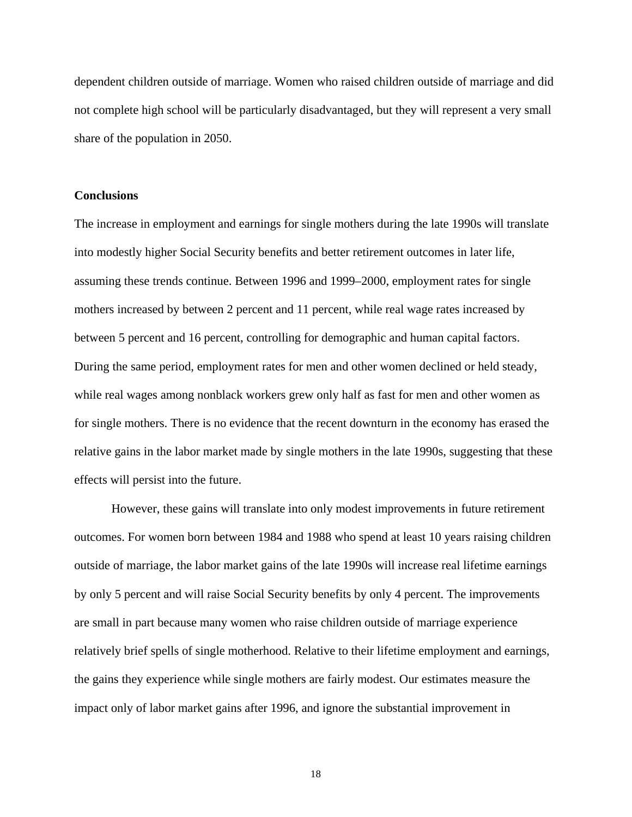dependent children outside of marriage. Women who raised children outside of marriage and did not complete high school will be particularly disadvantaged, but they will represent a very small share of the population in 2050.

# **Conclusions**

The increase in employment and earnings for single mothers during the late 1990s will translate into modestly higher Social Security benefits and better retirement outcomes in later life, assuming these trends continue. Between 1996 and 1999–2000, employment rates for single mothers increased by between 2 percent and 11 percent, while real wage rates increased by between 5 percent and 16 percent, controlling for demographic and human capital factors. During the same period, employment rates for men and other women declined or held steady, while real wages among nonblack workers grew only half as fast for men and other women as for single mothers. There is no evidence that the recent downturn in the economy has erased the relative gains in the labor market made by single mothers in the late 1990s, suggesting that these effects will persist into the future.

However, these gains will translate into only modest improvements in future retirement outcomes. For women born between 1984 and 1988 who spend at least 10 years raising children outside of marriage, the labor market gains of the late 1990s will increase real lifetime earnings by only 5 percent and will raise Social Security benefits by only 4 percent. The improvements are small in part because many women who raise children outside of marriage experience relatively brief spells of single motherhood. Relative to their lifetime employment and earnings, the gains they experience while single mothers are fairly modest. Our estimates measure the impact only of labor market gains after 1996, and ignore the substantial improvement in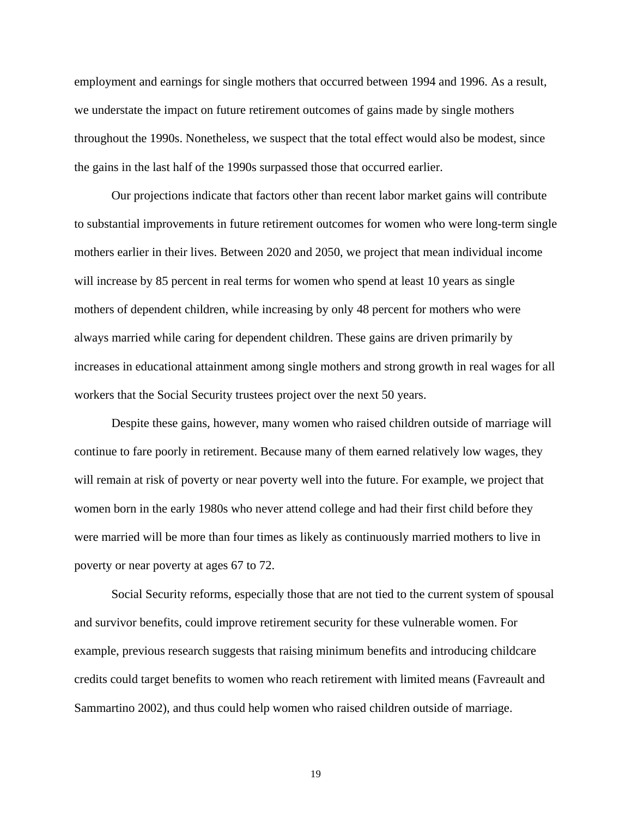employment and earnings for single mothers that occurred between 1994 and 1996. As a result, we understate the impact on future retirement outcomes of gains made by single mothers throughout the 1990s. Nonetheless, we suspect that the total effect would also be modest, since the gains in the last half of the 1990s surpassed those that occurred earlier.

Our projections indicate that factors other than recent labor market gains will contribute to substantial improvements in future retirement outcomes for women who were long-term single mothers earlier in their lives. Between 2020 and 2050, we project that mean individual income will increase by 85 percent in real terms for women who spend at least 10 years as single mothers of dependent children, while increasing by only 48 percent for mothers who were always married while caring for dependent children. These gains are driven primarily by increases in educational attainment among single mothers and strong growth in real wages for all workers that the Social Security trustees project over the next 50 years.

Despite these gains, however, many women who raised children outside of marriage will continue to fare poorly in retirement. Because many of them earned relatively low wages, they will remain at risk of poverty or near poverty well into the future. For example, we project that women born in the early 1980s who never attend college and had their first child before they were married will be more than four times as likely as continuously married mothers to live in poverty or near poverty at ages 67 to 72.

Social Security reforms, especially those that are not tied to the current system of spousal and survivor benefits, could improve retirement security for these vulnerable women. For example, previous research suggests that raising minimum benefits and introducing childcare credits could target benefits to women who reach retirement with limited means (Favreault and Sammartino 2002), and thus could help women who raised children outside of marriage.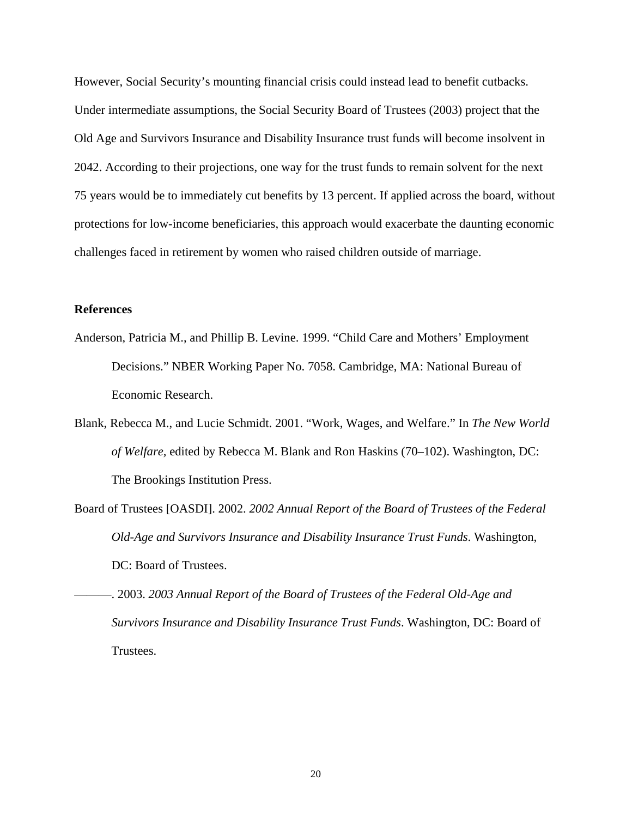However, Social Security's mounting financial crisis could instead lead to benefit cutbacks. Under intermediate assumptions, the Social Security Board of Trustees (2003) project that the Old Age and Survivors Insurance and Disability Insurance trust funds will become insolvent in 2042. According to their projections, one way for the trust funds to remain solvent for the next 75 years would be to immediately cut benefits by 13 percent. If applied across the board, without protections for low-income beneficiaries, this approach would exacerbate the daunting economic challenges faced in retirement by women who raised children outside of marriage.

# **References**

- Anderson, Patricia M., and Phillip B. Levine. 1999. "Child Care and Mothers' Employment Decisions." NBER Working Paper No. 7058. Cambridge, MA: National Bureau of Economic Research.
- Blank, Rebecca M., and Lucie Schmidt. 2001. "Work, Wages, and Welfare." In *The New World of Welfare,* edited by Rebecca M. Blank and Ron Haskins (70–102). Washington, DC: The Brookings Institution Press.
- Board of Trustees [OASDI]. 2002. *2002 Annual Report of the Board of Trustees of the Federal Old-Age and Survivors Insurance and Disability Insurance Trust Funds*. Washington, DC: Board of Trustees.
- ———. 2003. *2003 Annual Report of the Board of Trustees of the Federal Old-Age and Survivors Insurance and Disability Insurance Trust Funds*. Washington, DC: Board of Trustees.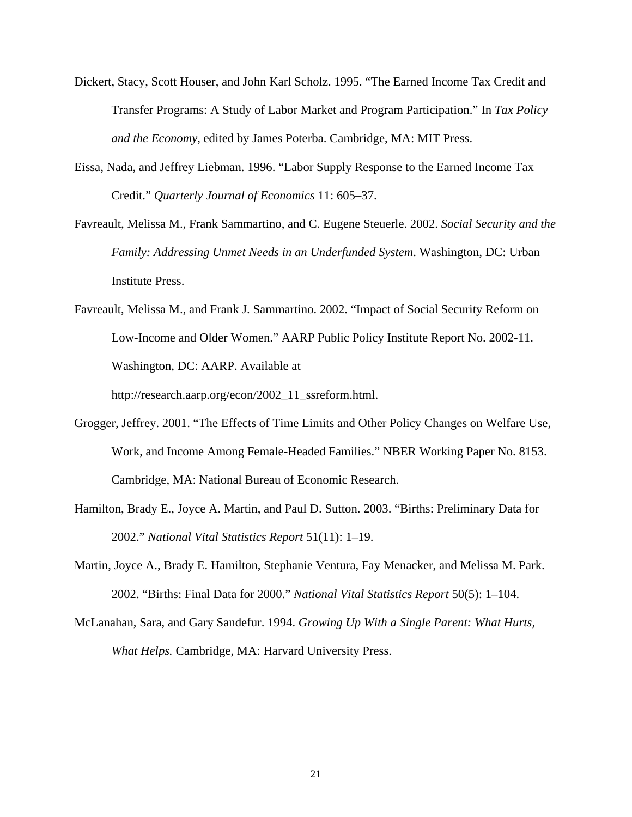- Dickert, Stacy, Scott Houser, and John Karl Scholz. 1995. "The Earned Income Tax Credit and Transfer Programs: A Study of Labor Market and Program Participation." In *Tax Policy and the Economy,* edited by James Poterba. Cambridge, MA: MIT Press.
- Eissa, Nada, and Jeffrey Liebman. 1996. "Labor Supply Response to the Earned Income Tax Credit." *Quarterly Journal of Economics* 11: 605–37.
- Favreault, Melissa M., Frank Sammartino, and C. Eugene Steuerle. 2002. *Social Security and the Family: Addressing Unmet Needs in an Underfunded System*. Washington, DC: Urban Institute Press.
- Favreault, Melissa M., and Frank J. Sammartino. 2002. "Impact of Social Security Reform on Low-Income and Older Women." AARP Public Policy Institute Report No. 2002-11. Washington, DC: AARP. Available at

http://research.aarp.org/econ/2002\_11\_ssreform.html.

- Grogger, Jeffrey. 2001. "The Effects of Time Limits and Other Policy Changes on Welfare Use, Work, and Income Among Female-Headed Families." NBER Working Paper No. 8153. Cambridge, MA: National Bureau of Economic Research.
- Hamilton, Brady E., Joyce A. Martin, and Paul D. Sutton. 2003. "Births: Preliminary Data for 2002." *National Vital Statistics Report* 51(11): 1–19.
- Martin, Joyce A., Brady E. Hamilton, Stephanie Ventura, Fay Menacker, and Melissa M. Park. 2002. "Births: Final Data for 2000." *National Vital Statistics Report* 50(5): 1–104.
- McLanahan, Sara, and Gary Sandefur. 1994. *Growing Up With a Single Parent: What Hurts, What Helps.* Cambridge, MA: Harvard University Press.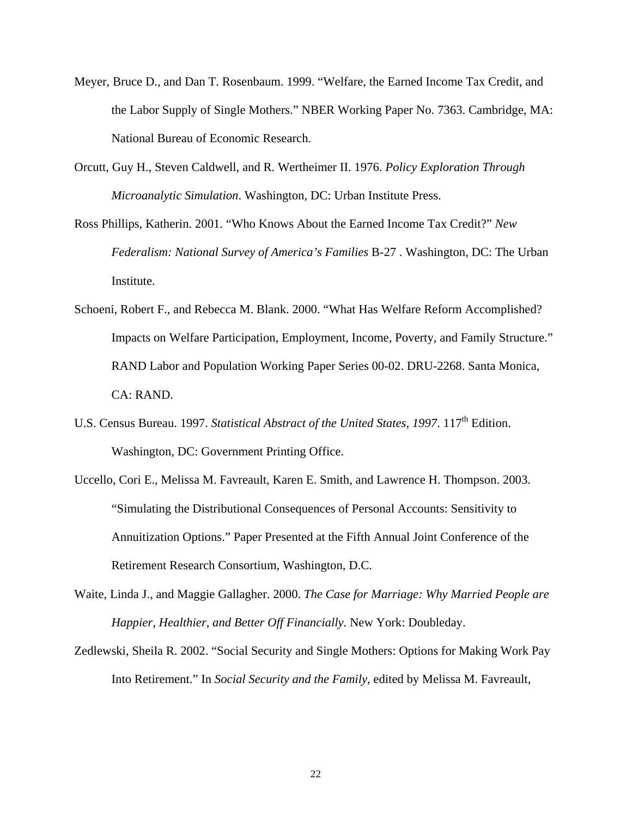- Meyer, Bruce D., and Dan T. Rosenbaum. 1999. "Welfare, the Earned Income Tax Credit, and the Labor Supply of Single Mothers." NBER Working Paper No. 7363. Cambridge, MA: National Bureau of Economic Research.
- Orcutt, Guy H., Steven Caldwell, and R. Wertheimer II. 1976. *Policy Exploration Through Microanalytic Simulation*. Washington, DC: Urban Institute Press.
- Ross Phillips, Katherin. 2001. "Who Knows About the Earned Income Tax Credit?" *New Federalism: National Survey of America's Families* B-27 . Washington, DC: The Urban Institute.
- Schoeni, Robert F., and Rebecca M. Blank. 2000. "What Has Welfare Reform Accomplished? Impacts on Welfare Participation, Employment, Income, Poverty, and Family Structure." RAND Labor and Population Working Paper Series 00-02. DRU-2268. Santa Monica, CA: RAND.
- U.S. Census Bureau. 1997. *Statistical Abstract of the United States, 1997.* 117<sup>th</sup> Edition. Washington, DC: Government Printing Office.
- Uccello, Cori E., Melissa M. Favreault, Karen E. Smith, and Lawrence H. Thompson. 2003. "Simulating the Distributional Consequences of Personal Accounts: Sensitivity to Annuitization Options." Paper Presented at the Fifth Annual Joint Conference of the Retirement Research Consortium, Washington, D.C.
- Waite, Linda J., and Maggie Gallagher. 2000. *The Case for Marriage: Why Married People are Happier, Healthier, and Better Off Financially.* New York: Doubleday.
- Zedlewski, Sheila R. 2002. "Social Security and Single Mothers: Options for Making Work Pay Into Retirement." In *Social Security and the Family,* edited by Melissa M. Favreault,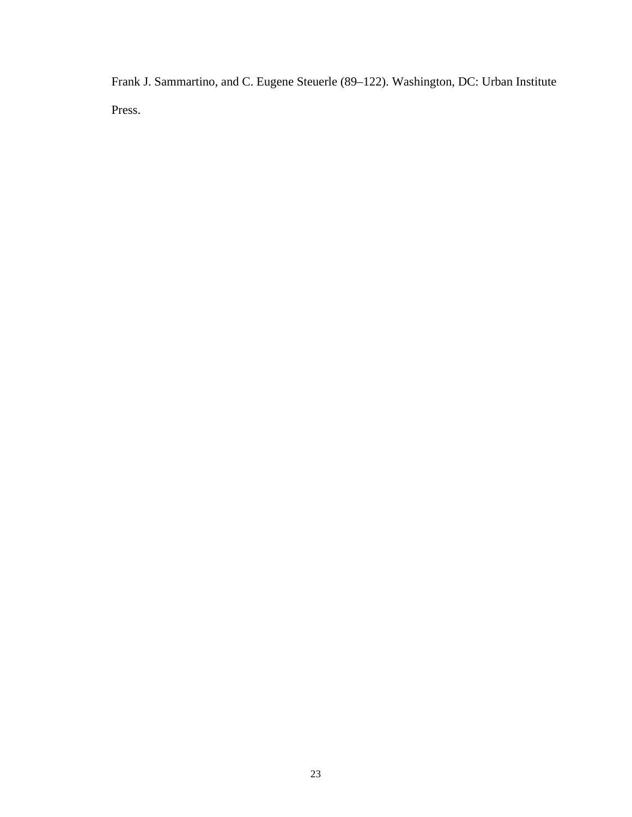Frank J. Sammartino, and C. Eugene Steuerle (89–122). Washington, DC: Urban Institute Press.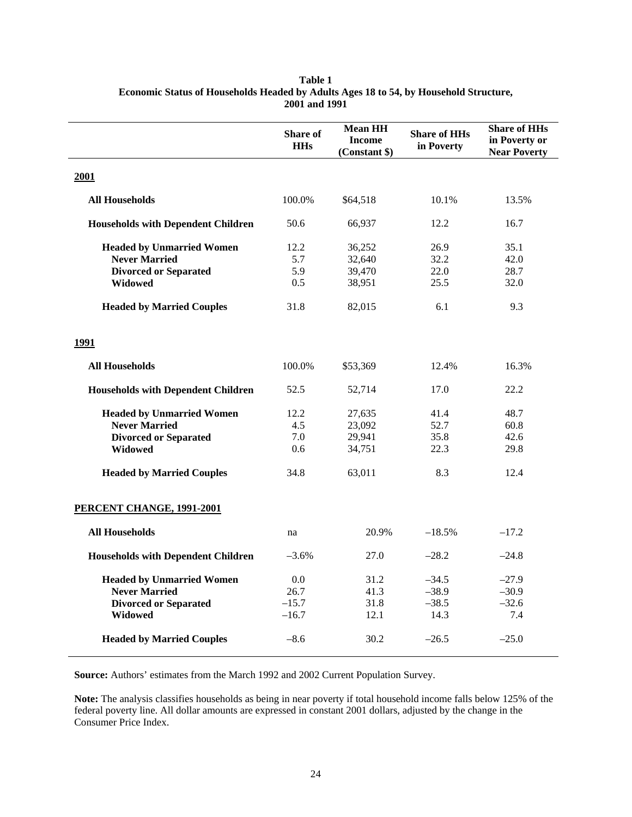|                                           | <b>Share of</b><br><b>HHs</b> | <b>Mean HH</b><br><b>Income</b><br>(Constant \$) | <b>Share of HHs</b><br>in Poverty | <b>Share of HHs</b><br>in Poverty or<br><b>Near Poverty</b> |
|-------------------------------------------|-------------------------------|--------------------------------------------------|-----------------------------------|-------------------------------------------------------------|
| 2001                                      |                               |                                                  |                                   |                                                             |
| <b>All Households</b>                     | 100.0%                        | \$64,518                                         | 10.1%                             | 13.5%                                                       |
| <b>Households with Dependent Children</b> | 50.6                          | 66,937                                           | 12.2                              | 16.7                                                        |
| <b>Headed by Unmarried Women</b>          | 12.2                          | 36,252                                           | 26.9                              | 35.1                                                        |
| <b>Never Married</b>                      | 5.7                           | 32,640                                           | 32.2                              | 42.0                                                        |
| <b>Divorced or Separated</b>              | 5.9                           | 39,470                                           | 22.0                              | 28.7                                                        |
| <b>Widowed</b>                            | 0.5                           | 38,951                                           | 25.5                              | 32.0                                                        |
| <b>Headed by Married Couples</b>          | 31.8                          | 82,015                                           | 6.1                               | 9.3                                                         |
| 1991                                      |                               |                                                  |                                   |                                                             |
| <b>All Households</b>                     | 100.0%                        | \$53,369                                         | 12.4%                             | 16.3%                                                       |
| <b>Households with Dependent Children</b> | 52.5                          | 52,714                                           | 17.0                              | 22.2                                                        |
| <b>Headed by Unmarried Women</b>          | 12.2                          | 27,635                                           | 41.4                              | 48.7                                                        |
| <b>Never Married</b>                      | 4.5                           | 23,092                                           | 52.7                              | 60.8                                                        |
| <b>Divorced or Separated</b>              | 7.0                           | 29,941                                           | 35.8                              | 42.6                                                        |
| Widowed                                   | 0.6                           | 34,751                                           | 22.3                              | 29.8                                                        |
| <b>Headed by Married Couples</b>          | 34.8                          | 63,011                                           | 8.3                               | 12.4                                                        |
| PERCENT CHANGE, 1991-2001                 |                               |                                                  |                                   |                                                             |
| <b>All Households</b>                     | na                            | 20.9%                                            | $-18.5%$                          | $-17.2$                                                     |
| <b>Households with Dependent Children</b> | $-3.6%$                       | 27.0                                             | $-28.2$                           | $-24.8$                                                     |
| <b>Headed by Unmarried Women</b>          | 0.0                           | 31.2                                             | $-34.5$                           | $-27.9$                                                     |
| <b>Never Married</b>                      | 26.7                          | 41.3                                             | $-38.9$                           | $-30.9$                                                     |
| <b>Divorced or Separated</b>              | $-15.7$                       | 31.8                                             | $-38.5$                           | $-32.6$                                                     |
| Widowed                                   | $-16.7$                       | 12.1                                             | 14.3                              | 7.4                                                         |
| <b>Headed by Married Couples</b>          | $-8.6$                        | 30.2                                             | $-26.5$                           | $-25.0$                                                     |

**Table 1 Economic Status of Households Headed by Adults Ages 18 to 54, by Household Structure, 2001 and 1991** 

**Source:** Authors' estimates from the March 1992 and 2002 Current Population Survey.

**Note:** The analysis classifies households as being in near poverty if total household income falls below 125% of the federal poverty line. All dollar amounts are expressed in constant 2001 dollars, adjusted by the change in the Consumer Price Index.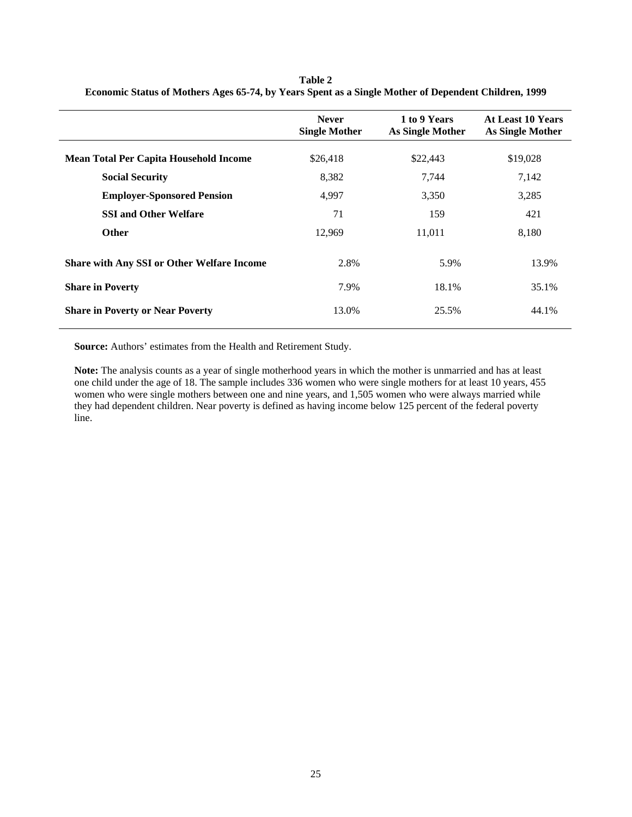|                                                   | <b>Never</b><br><b>Single Mother</b> | 1 to 9 Years<br>As Single Mother | <b>At Least 10 Years</b><br>As Single Mother |
|---------------------------------------------------|--------------------------------------|----------------------------------|----------------------------------------------|
| <b>Mean Total Per Capita Household Income</b>     | \$26,418                             | \$22,443                         | \$19,028                                     |
| <b>Social Security</b>                            | 8,382                                | 7,744                            | 7,142                                        |
| <b>Employer-Sponsored Pension</b>                 | 4.997                                | 3,350                            | 3,285                                        |
| <b>SSI and Other Welfare</b>                      | 71                                   | 159                              | 421                                          |
| <b>Other</b>                                      | 12,969                               | 11,011                           | 8,180                                        |
| <b>Share with Any SSI or Other Welfare Income</b> | 2.8%                                 | 5.9%                             | 13.9%                                        |
| <b>Share in Poverty</b>                           | 7.9%                                 | 18.1%                            | 35.1%                                        |
| <b>Share in Poverty or Near Poverty</b>           | 13.0%                                | 25.5%                            | 44.1%                                        |

**Table 2 Economic Status of Mothers Ages 65-74, by Years Spent as a Single Mother of Dependent Children, 1999** 

**Source:** Authors' estimates from the Health and Retirement Study.

**Note:** The analysis counts as a year of single motherhood years in which the mother is unmarried and has at least one child under the age of 18. The sample includes 336 women who were single mothers for at least 10 years, 455 women who were single mothers between one and nine years, and 1,505 women who were always married while they had dependent children. Near poverty is defined as having income below 125 percent of the federal poverty line.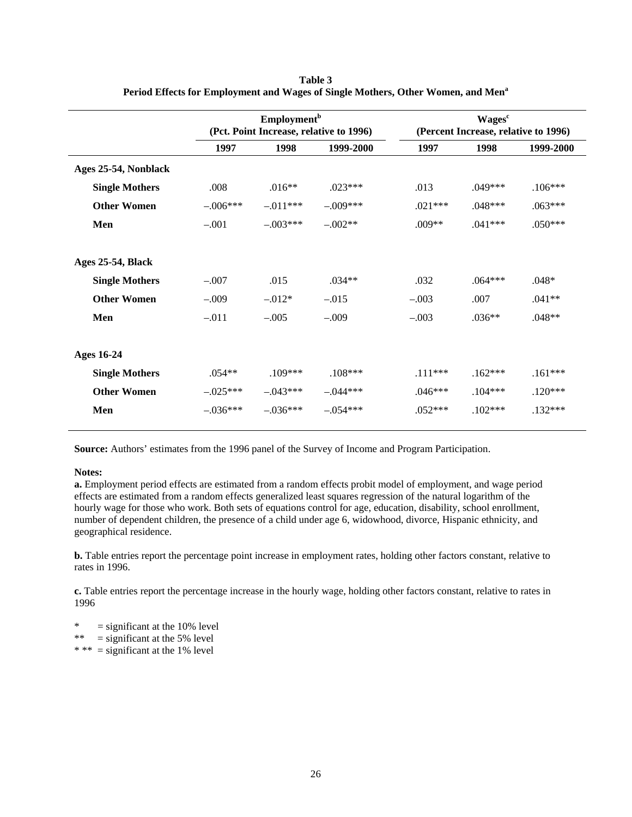|                       | <b>Employment</b> <sup>b</sup><br>(Pct. Point Increase, relative to 1996) |            |            |           | Wages <sup>c</sup><br>(Percent Increase, relative to 1996) |           |  |  |
|-----------------------|---------------------------------------------------------------------------|------------|------------|-----------|------------------------------------------------------------|-----------|--|--|
|                       | 1997                                                                      | 1998       | 1999-2000  | 1997      | 1998                                                       | 1999-2000 |  |  |
| Ages 25-54, Nonblack  |                                                                           |            |            |           |                                                            |           |  |  |
| <b>Single Mothers</b> | .008                                                                      | $.016**$   | $.023***$  | .013      | $.049***$                                                  | $.106***$ |  |  |
| <b>Other Women</b>    | $-.006***$                                                                | $-.011***$ | $-.009***$ | $.021***$ | $.048***$                                                  | $.063***$ |  |  |
| Men                   | $-.001$                                                                   | $-.003***$ | $-.002**$  | $.009**$  | $.041***$                                                  | $.050***$ |  |  |
| Ages 25-54, Black     |                                                                           |            |            |           |                                                            |           |  |  |
| <b>Single Mothers</b> | $-.007$                                                                   | .015       | $.034**$   | .032      | $.064***$                                                  | $.048*$   |  |  |
| <b>Other Women</b>    | $-.009$                                                                   | $-.012*$   | $-.015$    | $-.003$   | .007                                                       | $.041**$  |  |  |
| Men                   | $-.011$                                                                   | $-.005$    | $-.009$    | $-.003$   | $.036**$                                                   | $.048**$  |  |  |
| <b>Ages 16-24</b>     |                                                                           |            |            |           |                                                            |           |  |  |
| <b>Single Mothers</b> | $.054**$                                                                  | $.109***$  | $.108***$  | $.111***$ | $.162***$                                                  | $.161***$ |  |  |
| <b>Other Women</b>    | $-.025***$                                                                | $-.043***$ | $-.044***$ | $.046***$ | $.104***$                                                  | $.120***$ |  |  |
| Men                   | $-.036***$                                                                | $-.036***$ | $-.054***$ | $.052***$ | $.102***$                                                  | $.132***$ |  |  |

**Table 3 Period Effects for Employment and Wages of Single Mothers, Other Women, and Men<sup>a</sup>**

**Source:** Authors' estimates from the 1996 panel of the Survey of Income and Program Participation.

#### **Notes:**

**a.** Employment period effects are estimated from a random effects probit model of employment, and wage period effects are estimated from a random effects generalized least squares regression of the natural logarithm of the hourly wage for those who work. Both sets of equations control for age, education, disability, school enrollment, number of dependent children, the presence of a child under age 6, widowhood, divorce, Hispanic ethnicity, and geographical residence.

**b.** Table entries report the percentage point increase in employment rates, holding other factors constant, relative to rates in 1996.

**c.** Table entries report the percentage increase in the hourly wage, holding other factors constant, relative to rates in 1996

 $*$  = significant at the 10% level

\*\*  $=$  significant at the 5% level

\* \*\* = significant at the 1% level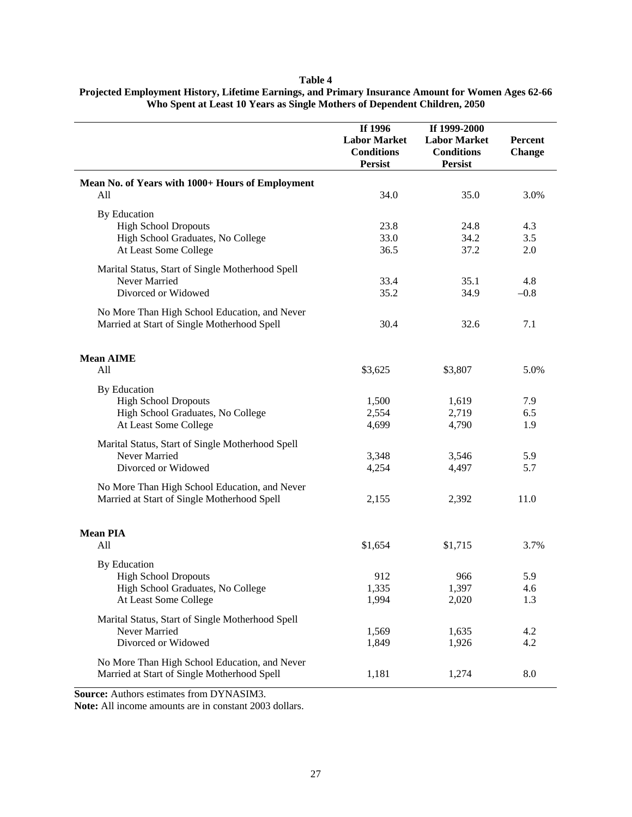### **Table 4**

| Projected Employment History, Lifetime Earnings, and Primary Insurance Amount for Women Ages 62-66 |
|----------------------------------------------------------------------------------------------------|
| Who Spent at Least 10 Years as Single Mothers of Dependent Children, 2050                          |

|                                                  | If 1996             | If 1999-2000        |               |
|--------------------------------------------------|---------------------|---------------------|---------------|
|                                                  | <b>Labor Market</b> | <b>Labor Market</b> | Percent       |
|                                                  | <b>Conditions</b>   | <b>Conditions</b>   | <b>Change</b> |
|                                                  | <b>Persist</b>      | <b>Persist</b>      |               |
|                                                  |                     |                     |               |
| Mean No. of Years with 1000+ Hours of Employment |                     |                     |               |
| All                                              | 34.0                | 35.0                | 3.0%          |
| <b>By Education</b>                              |                     |                     |               |
| <b>High School Dropouts</b>                      | 23.8                | 24.8                | 4.3           |
| High School Graduates, No College                | 33.0                | 34.2                | 3.5           |
| At Least Some College                            | 36.5                | 37.2                | 2.0           |
|                                                  |                     |                     |               |
| Marital Status, Start of Single Motherhood Spell |                     |                     |               |
| Never Married                                    | 33.4                | 35.1                | 4.8           |
| Divorced or Widowed                              | 35.2                | 34.9                | $-0.8$        |
| No More Than High School Education, and Never    |                     |                     |               |
| Married at Start of Single Motherhood Spell      | 30.4                | 32.6                | 7.1           |
|                                                  |                     |                     |               |
|                                                  |                     |                     |               |
| <b>Mean AIME</b>                                 |                     |                     |               |
| All                                              | \$3,625             | \$3,807             | 5.0%          |
| By Education                                     |                     |                     |               |
| <b>High School Dropouts</b>                      | 1,500               | 1,619               | 7.9           |
| High School Graduates, No College                | 2,554               | 2,719               | 6.5           |
| At Least Some College                            | 4,699               | 4,790               | 1.9           |
|                                                  |                     |                     |               |
| Marital Status, Start of Single Motherhood Spell |                     |                     |               |
| Never Married                                    | 3,348               | 3,546               | 5.9           |
| Divorced or Widowed                              | 4,254               | 4,497               | 5.7           |
| No More Than High School Education, and Never    |                     |                     |               |
| Married at Start of Single Motherhood Spell      | 2,155               | 2,392               | 11.0          |
|                                                  |                     |                     |               |
|                                                  |                     |                     |               |
| <b>Mean PIA</b>                                  |                     |                     |               |
| All                                              | \$1,654             | \$1,715             | 3.7%          |
| By Education                                     |                     |                     |               |
| <b>High School Dropouts</b>                      | 912                 | 966                 | 5.9           |
| High School Graduates, No College                | 1,335               | 1,397               | 4.6           |
| At Least Some College                            | 1,994               | 2,020               | 1.3           |
|                                                  |                     |                     |               |
| Marital Status, Start of Single Motherhood Spell |                     |                     |               |
| Never Married                                    | 1,569               | 1,635               | 4.2           |
| Divorced or Widowed                              | 1,849               | 1,926               | 4.2           |
| No More Than High School Education, and Never    |                     |                     |               |
| Married at Start of Single Motherhood Spell      | 1,181               | 1,274               | 8.0           |
|                                                  |                     |                     |               |

**Source:** Authors estimates from DYNASIM3.

**Note:** All income amounts are in constant 2003 dollars.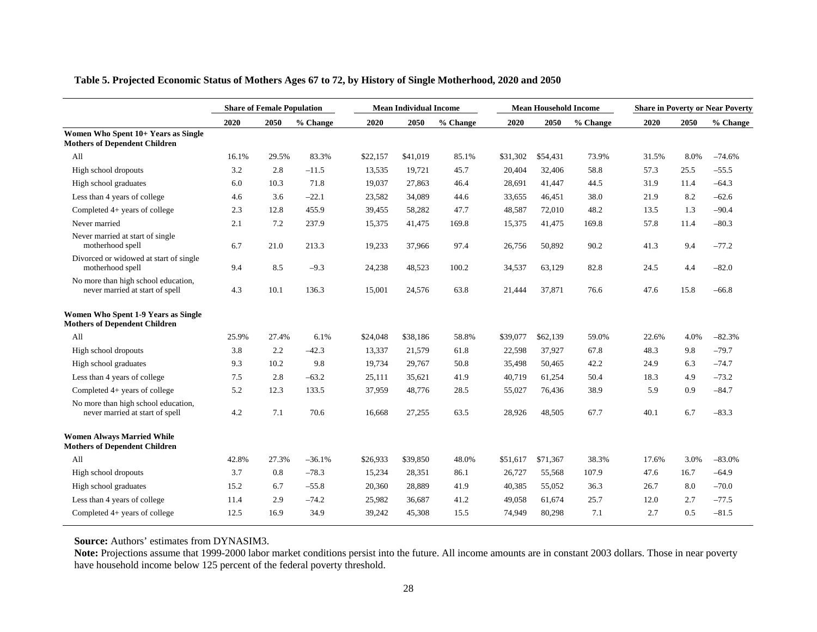|                                                                             |       | <b>Share of Female Population</b> |          |          | <b>Mean Individual Income</b> |          |          | <b>Mean Household Income</b> |          |       |      | <b>Share in Poverty or Near Poverty</b> |
|-----------------------------------------------------------------------------|-------|-----------------------------------|----------|----------|-------------------------------|----------|----------|------------------------------|----------|-------|------|-----------------------------------------|
|                                                                             | 2020  | 2050                              | % Change | 2020     | 2050                          | % Change | 2020     | 2050                         | % Change | 2020  | 2050 | % Change                                |
| Women Who Spent 10+ Years as Single<br><b>Mothers of Dependent Children</b> |       |                                   |          |          |                               |          |          |                              |          |       |      |                                         |
| All                                                                         | 16.1% | 29.5%                             | 83.3%    | \$22,157 | \$41,019                      | 85.1%    | \$31,302 | \$54,431                     | 73.9%    | 31.5% | 8.0% | $-74.6%$                                |
| High school dropouts                                                        | 3.2   | 2.8                               | $-11.5$  | 13,535   | 19,721                        | 45.7     | 20,404   | 32,406                       | 58.8     | 57.3  | 25.5 | $-55.5$                                 |
| High school graduates                                                       | 6.0   | 10.3                              | 71.8     | 19,037   | 27,863                        | 46.4     | 28,691   | 41,447                       | 44.5     | 31.9  | 11.4 | $-64.3$                                 |
| Less than 4 years of college                                                | 4.6   | 3.6                               | $-22.1$  | 23,582   | 34,089                        | 44.6     | 33,655   | 46,451                       | 38.0     | 21.9  | 8.2  | $-62.6$                                 |
| Completed 4+ years of college                                               | 2.3   | 12.8                              | 455.9    | 39,455   | 58,282                        | 47.7     | 48,587   | 72,010                       | 48.2     | 13.5  | 1.3  | $-90.4$                                 |
| Never married                                                               | 2.1   | 7.2                               | 237.9    | 15,375   | 41,475                        | 169.8    | 15,375   | 41,475                       | 169.8    | 57.8  | 11.4 | $-80.3$                                 |
| Never married at start of single<br>motherhood spell                        | 6.7   | 21.0                              | 213.3    | 19,233   | 37,966                        | 97.4     | 26,756   | 50,892                       | 90.2     | 41.3  | 9.4  | $-77.2$                                 |
| Divorced or widowed at start of single<br>motherhood spell                  | 9.4   | 8.5                               | $-9.3$   | 24,238   | 48,523                        | 100.2    | 34,537   | 63,129                       | 82.8     | 24.5  | 4.4  | $-82.0$                                 |
| No more than high school education,<br>never married at start of spell      | 4.3   | 10.1                              | 136.3    | 15,001   | 24,576                        | 63.8     | 21,444   | 37,871                       | 76.6     | 47.6  | 15.8 | $-66.8$                                 |
| Women Who Spent 1-9 Years as Single<br><b>Mothers of Dependent Children</b> |       |                                   |          |          |                               |          |          |                              |          |       |      |                                         |
| All                                                                         | 25.9% | 27.4%                             | 6.1%     | \$24,048 | \$38,186                      | 58.8%    | \$39,077 | \$62,139                     | 59.0%    | 22.6% | 4.0% | $-82.3%$                                |
| High school dropouts                                                        | 3.8   | 2.2                               | $-42.3$  | 13,337   | 21,579                        | 61.8     | 22,598   | 37,927                       | 67.8     | 48.3  | 9.8  | $-79.7$                                 |
| High school graduates                                                       | 9.3   | 10.2                              | 9.8      | 19,734   | 29,767                        | 50.8     | 35,498   | 50,465                       | 42.2     | 24.9  | 6.3  | $-74.7$                                 |
| Less than 4 years of college                                                | 7.5   | 2.8                               | $-63.2$  | 25,111   | 35,621                        | 41.9     | 40,719   | 61,254                       | 50.4     | 18.3  | 4.9  | $-73.2$                                 |
| Completed $4+$ years of college                                             | 5.2   | 12.3                              | 133.5    | 37,959   | 48,776                        | 28.5     | 55,027   | 76,436                       | 38.9     | 5.9   | 0.9  | $-84.7$                                 |
| No more than high school education,<br>never married at start of spell      | 4.2   | 7.1                               | 70.6     | 16,668   | 27,255                        | 63.5     | 28,926   | 48,505                       | 67.7     | 40.1  | 6.7  | $-83.3$                                 |
| <b>Women Always Married While</b><br><b>Mothers of Dependent Children</b>   |       |                                   |          |          |                               |          |          |                              |          |       |      |                                         |
| All                                                                         | 42.8% | 27.3%                             | $-36.1%$ | \$26,933 | \$39,850                      | 48.0%    | \$51,617 | \$71,367                     | 38.3%    | 17.6% | 3.0% | $-83.0%$                                |
| High school dropouts                                                        | 3.7   | 0.8                               | $-78.3$  | 15,234   | 28,351                        | 86.1     | 26,727   | 55,568                       | 107.9    | 47.6  | 16.7 | $-64.9$                                 |
| High school graduates                                                       | 15.2  | 6.7                               | $-55.8$  | 20,360   | 28,889                        | 41.9     | 40,385   | 55,052                       | 36.3     | 26.7  | 8.0  | $-70.0$                                 |
| Less than 4 years of college                                                | 11.4  | 2.9                               | $-74.2$  | 25,982   | 36,687                        | 41.2     | 49,058   | 61,674                       | 25.7     | 12.0  | 2.7  | $-77.5$                                 |
| Completed 4+ years of college                                               | 12.5  | 16.9                              | 34.9     | 39.242   | 45,308                        | 15.5     | 74,949   | 80,298                       | 7.1      | 2.7   | 0.5  | $-81.5$                                 |

# **Table 5. Projected Economic Status of Mothers Ages 67 to 72, by History of Single Motherhood, 2020 and 2050**

**Source:** Authors' estimates from DYNASIM3.

**Note:** Projections assume that 1999-2000 labor market conditions persist into the future. All income amounts are in constant 2003 dollars. Those in near poverty have household income below 125 percent of the federal poverty threshold.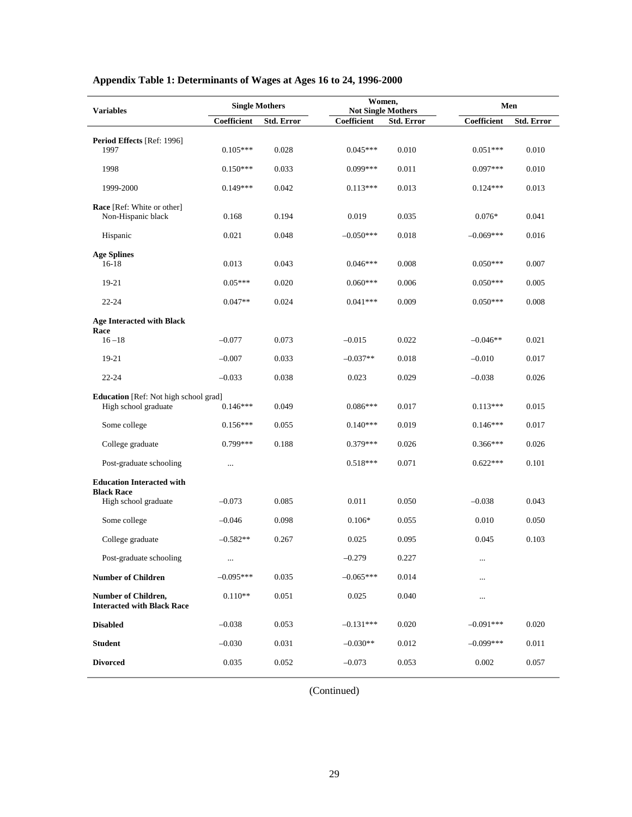| <b>Variables</b>                                                     | <b>Single Mothers</b> |                   | Women,<br><b>Not Single Mothers</b> |            |             | Men               |  |  |
|----------------------------------------------------------------------|-----------------------|-------------------|-------------------------------------|------------|-------------|-------------------|--|--|
|                                                                      | Coefficient           | <b>Std. Error</b> | Coefficient                         | Std. Error | Coefficient | <b>Std. Error</b> |  |  |
| Period Effects [Ref: 1996]                                           |                       |                   |                                     |            |             |                   |  |  |
| 1997                                                                 | $0.105***$            | 0.028             | $0.045***$                          | 0.010      | $0.051***$  | 0.010             |  |  |
| 1998                                                                 | $0.150***$            | 0.033             | $0.099***$                          | 0.011      | $0.097***$  | 0.010             |  |  |
| 1999-2000                                                            | $0.149***$            | 0.042             | $0.113***$                          | 0.013      | $0.124***$  | 0.013             |  |  |
| Race [Ref: White or other]<br>Non-Hispanic black                     | 0.168                 | 0.194             | 0.019                               | 0.035      | $0.076*$    | 0.041             |  |  |
| Hispanic                                                             | 0.021                 | 0.048             | $-0.050***$                         | 0.018      | $-0.069***$ | 0.016             |  |  |
| <b>Age Splines</b><br>$16-18$                                        | 0.013                 | 0.043             | $0.046***$                          | 0.008      | $0.050***$  | 0.007             |  |  |
| 19-21                                                                | $0.05***$             | 0.020             | $0.060***$                          | 0.006      | $0.050***$  | 0.005             |  |  |
| 22-24                                                                | $0.047**$             | 0.024             | $0.041***$                          | 0.009      | $0.050***$  | 0.008             |  |  |
| <b>Age Interacted with Black</b>                                     |                       |                   |                                     |            |             |                   |  |  |
| Race<br>$16 - 18$                                                    | $-0.077$              | 0.073             | $-0.015$                            | 0.022      | $-0.046**$  | 0.021             |  |  |
| 19-21                                                                | $-0.007$              | 0.033             | $-0.037**$                          | 0.018      | $-0.010$    | 0.017             |  |  |
| $22 - 24$                                                            | $-0.033$              | 0.038             | 0.023                               | 0.029      | $-0.038$    | 0.026             |  |  |
| <b>Education</b> [Ref: Not high school grad]<br>High school graduate | $0.146***$            | 0.049             | $0.086***$                          | 0.017      | $0.113***$  | 0.015             |  |  |
| Some college                                                         | $0.156***$            | 0.055             | $0.140***$                          | 0.019      | $0.146***$  | 0.017             |  |  |
| College graduate                                                     | $0.799***$            | 0.188             | $0.379***$                          | 0.026      | $0.366***$  | 0.026             |  |  |
| Post-graduate schooling                                              | $\ldots$              |                   | $0.518***$                          | 0.071      | $0.622***$  | 0.101             |  |  |
| <b>Education Interacted with</b>                                     |                       |                   |                                     |            |             |                   |  |  |
| <b>Black Race</b><br>High school graduate                            | $-0.073$              | 0.085             | 0.011                               | 0.050      | $-0.038$    | 0.043             |  |  |
| Some college                                                         | $-0.046$              | 0.098             | $0.106*$                            | 0.055      | 0.010       | 0.050             |  |  |
| College graduate                                                     | $-0.582**$            | 0.267             | 0.025                               | 0.095      | 0.045       | 0.103             |  |  |
| Post-graduate schooling                                              | $\ldots$              |                   | $-0.279$                            | 0.227      | $\cdots$    |                   |  |  |
| <b>Number of Children</b>                                            | $-0.095***$           | 0.035             | $-0.065***$                         | 0.014      |             |                   |  |  |
| Number of Children,<br><b>Interacted with Black Race</b>             | $0.110**$             | 0.051             | 0.025                               | 0.040      | $\cdots$    |                   |  |  |
| <b>Disabled</b>                                                      | $-0.038$              | 0.053             | $-0.131***$                         | 0.020      | $-0.091***$ | 0.020             |  |  |
| <b>Student</b>                                                       | $-0.030$              | 0.031             | $-0.030**$                          | 0.012      | $-0.099***$ | 0.011             |  |  |
| <b>Divorced</b>                                                      | 0.035                 | 0.052             | $-0.073$                            | 0.053      | 0.002       | 0.057             |  |  |

# **Appendix Table 1: Determinants of Wages at Ages 16 to 24, 1996-2000**

(Continued)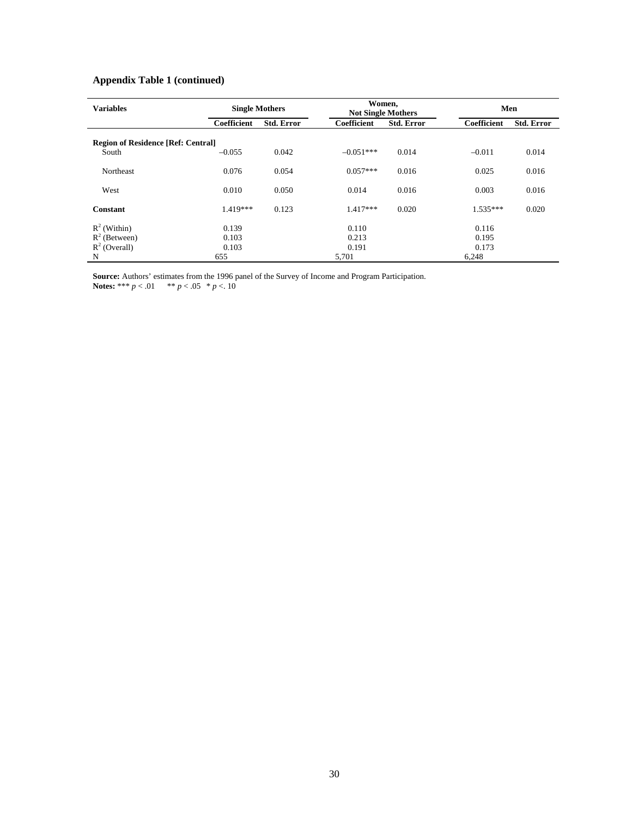# **Appendix Table 1 (continued)**

| <b>Variables</b>                          | <b>Single Mothers</b> |                   | Women,<br><b>Not Single Mothers</b> |                   | Men         |                   |  |
|-------------------------------------------|-----------------------|-------------------|-------------------------------------|-------------------|-------------|-------------------|--|
|                                           | Coefficient           | <b>Std. Error</b> | <b>Coefficient</b>                  | <b>Std. Error</b> | Coefficient | <b>Std. Error</b> |  |
| <b>Region of Residence [Ref: Central]</b> |                       |                   |                                     |                   |             |                   |  |
| South                                     | $-0.055$              | 0.042             | $-0.051***$                         | 0.014             | $-0.011$    | 0.014             |  |
| Northeast                                 | 0.076                 | 0.054             | $0.057***$                          | 0.016             | 0.025       | 0.016             |  |
| West                                      | 0.010                 | 0.050             | 0.014                               | 0.016             | 0.003       | 0.016             |  |
| <b>Constant</b>                           | $1.419***$            | 0.123             | $1.417***$                          | 0.020             | $1.535***$  | 0.020             |  |
| $R^2$ (Within)                            | 0.139                 |                   | 0.110                               |                   | 0.116       |                   |  |
| $R^2$ (Between)                           | 0.103                 |                   | 0.213                               |                   | 0.195       |                   |  |
| $R^2$ (Overall)                           | 0.103                 |                   | 0.191                               |                   | 0.173       |                   |  |
| N                                         | 655                   |                   | 5,701                               |                   | 6,248       |                   |  |

**Source:** Authors' estimates from the 1996 panel of the Survey of Income and Program Participation. **Notes:** \*\*\*  $p < .01$  \*\*  $p < .05$  \*  $p < .10$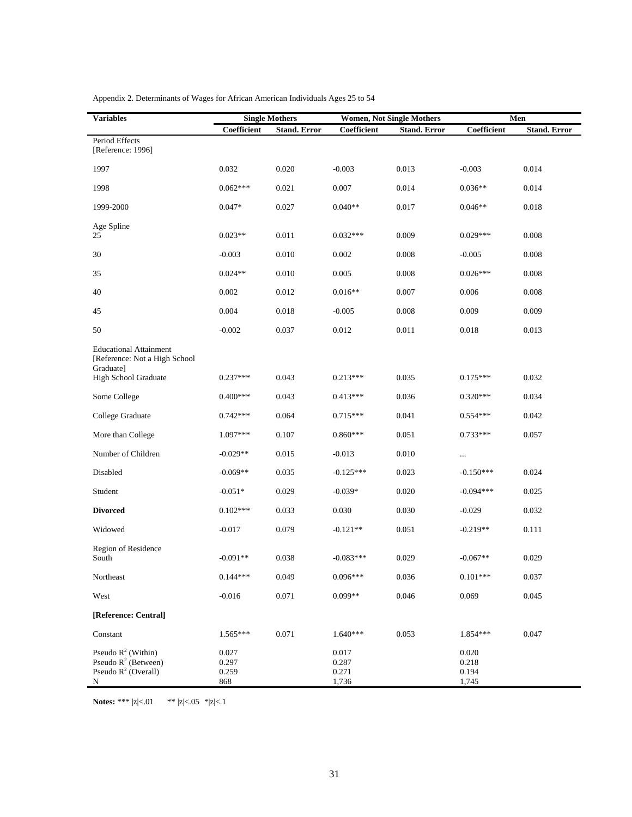| <b>Variables</b>                                                                                    |                                | <b>Single Mothers</b> |                                  | <b>Women, Not Single Mothers</b> |                                  | Men                 |
|-----------------------------------------------------------------------------------------------------|--------------------------------|-----------------------|----------------------------------|----------------------------------|----------------------------------|---------------------|
|                                                                                                     | Coefficient                    | <b>Stand. Error</b>   | Coefficient                      | <b>Stand. Error</b>              | Coefficient                      | <b>Stand. Error</b> |
| Period Effects<br>[Reference: 1996]                                                                 |                                |                       |                                  |                                  |                                  |                     |
| 1997                                                                                                | 0.032                          | 0.020                 | $-0.003$                         | 0.013                            | $-0.003$                         | 0.014               |
| 1998                                                                                                | $0.062***$                     | 0.021                 | 0.007                            | 0.014                            | $0.036**$                        | 0.014               |
| 1999-2000                                                                                           | $0.047*$                       | 0.027                 | $0.040**$                        | 0.017                            | $0.046**$                        | 0.018               |
| Age Spline<br>25                                                                                    | $0.023**$                      | 0.011                 | $0.032***$                       | 0.009                            | $0.029***$                       | 0.008               |
| 30                                                                                                  | $-0.003$                       | 0.010                 | 0.002                            | 0.008                            | $-0.005$                         | 0.008               |
| 35                                                                                                  | $0.024**$                      | 0.010                 | 0.005                            | 0.008                            | $0.026***$                       | 0.008               |
| 40                                                                                                  | 0.002                          | 0.012                 | $0.016**$                        | 0.007                            | 0.006                            | 0.008               |
| 45                                                                                                  | 0.004                          | 0.018                 | $-0.005$                         | 0.008                            | 0.009                            | 0.009               |
| 50                                                                                                  | $-0.002$                       | 0.037                 | 0.012                            | 0.011                            | 0.018                            | 0.013               |
| <b>Educational Attainment</b><br>[Reference: Not a High School<br>Graduate]<br>High School Graduate | $0.237***$                     | 0.043                 | $0.213***$                       | 0.035                            | $0.175***$                       | 0.032               |
| Some College                                                                                        | $0.400***$                     | 0.043                 | $0.413***$                       | 0.036                            | $0.320***$                       | 0.034               |
| College Graduate                                                                                    | $0.742***$                     | 0.064                 | $0.715***$                       | 0.041                            | $0.554***$                       | 0.042               |
| More than College                                                                                   | $1.097***$                     | 0.107                 | $0.860***$                       | 0.051                            | $0.733***$                       | 0.057               |
| Number of Children                                                                                  | $-0.029**$                     | 0.015                 | $-0.013$                         | 0.010                            |                                  |                     |
| Disabled                                                                                            | $-0.069**$                     | 0.035                 | $-0.125***$                      | 0.023                            | $-0.150***$                      | 0.024               |
| Student                                                                                             | $-0.051*$                      | 0.029                 | $-0.039*$                        | 0.020                            | $-0.094***$                      | 0.025               |
| <b>Divorced</b>                                                                                     | $0.102***$                     | 0.033                 | 0.030                            | 0.030                            | $-0.029$                         | 0.032               |
| Widowed                                                                                             | $-0.017$                       | 0.079                 | $-0.121**$                       | 0.051                            | $-0.219**$                       | 0.111               |
| Region of Residence<br>South                                                                        | $-0.091**$                     | 0.038                 | $-0.083***$                      | 0.029                            | $-0.067**$                       | 0.029               |
| Northeast                                                                                           | $0.144***$                     | 0.049                 | $0.096***$                       | 0.036                            | $0.101***$                       | 0.037               |
| West                                                                                                | $-0.016$                       | 0.071                 | $0.099**$                        | 0.046                            | 0.069                            | 0.045               |
| [Reference: Central]                                                                                |                                |                       |                                  |                                  |                                  |                     |
| Constant                                                                                            | $1.565***$                     | 0.071                 | $1.640***$                       | 0.053                            | 1.854***                         | 0.047               |
| Pseudo $R^2$ (Within)<br>Pseudo $R^2$ (Between)<br>Pseudo $R^2$ (Overall)<br>${\bf N}$              | 0.027<br>0.297<br>0.259<br>868 |                       | 0.017<br>0.287<br>0.271<br>1,736 |                                  | 0.020<br>0.218<br>0.194<br>1,745 |                     |

Appendix 2. Determinants of Wages for African American Individuals Ages 25 to 54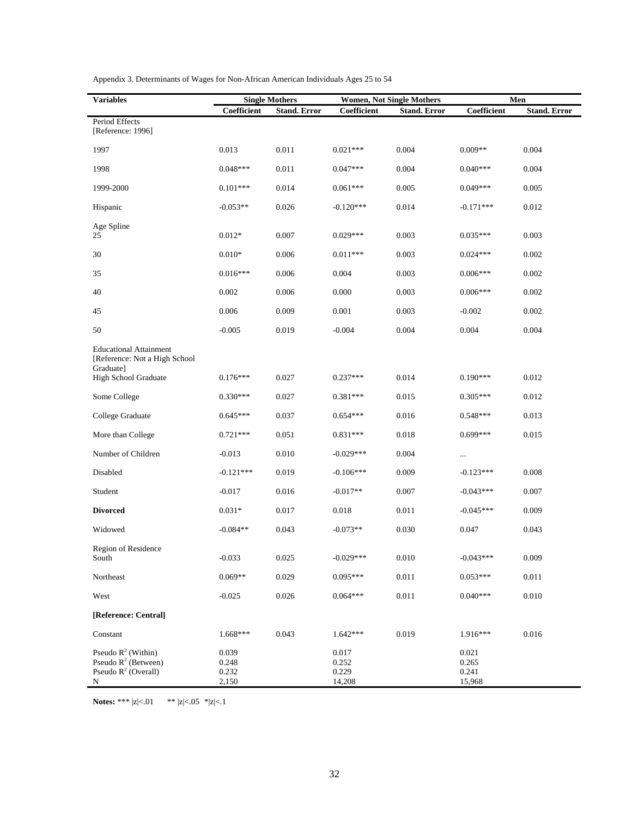| <b>Variables</b>                                                               |                                  | <b>Single Mothers</b> |                                   | <b>Women, Not Single Mothers</b> |                                   | Men                 |
|--------------------------------------------------------------------------------|----------------------------------|-----------------------|-----------------------------------|----------------------------------|-----------------------------------|---------------------|
|                                                                                | Coefficient                      | <b>Stand. Error</b>   | Coefficient                       | <b>Stand. Error</b>              | Coefficient                       | <b>Stand. Error</b> |
| Period Effects<br>[Reference: 1996]                                            |                                  |                       |                                   |                                  |                                   |                     |
| 1997                                                                           | 0.013                            | 0.011                 | $0.021***$                        | 0.004                            | $0.009**$                         | 0.004               |
| 1998                                                                           | $0.048***$                       | 0.011                 | $0.047***$                        | 0.004                            | $0.040***$                        | 0.004               |
| 1999-2000                                                                      | $0.101***$                       | 0.014                 | $0.061***$                        | 0.005                            | $0.049***$                        | 0.005               |
| Hispanic                                                                       | $-0.053**$                       | 0.026                 | $-0.120***$                       | 0.014                            | $-0.171***$                       | 0.012               |
| Age Spline<br>25                                                               | $0.012*$                         | 0.007                 | $0.029***$                        | 0.003                            | $0.035***$                        | 0.003               |
| $30\,$                                                                         | $0.010*$                         | 0.006                 | $0.011***$                        | 0.003                            | $0.024***$                        | 0.002               |
| 35                                                                             | $0.016***$                       | 0.006                 | 0.004                             | 0.003                            | $0.006***$                        | 0.002               |
| 40                                                                             | 0.002                            | 0.006                 | 0.000                             | 0.003                            | $0.006***$                        | 0.002               |
| 45                                                                             | 0.006                            | 0.009                 | 0.001                             | 0.003                            | $-0.002$                          | 0.002               |
| 50                                                                             | $-0.005$                         | 0.019                 | $-0.004$                          | 0.004                            | 0.004                             | 0.004               |
| <b>Educational Attainment</b><br>[Reference: Not a High School<br>Graduate]    |                                  |                       |                                   |                                  |                                   |                     |
| High School Graduate                                                           | $0.176***$                       | 0.027                 | $0.237***$                        | 0.014                            | $0.190***$                        | 0.012               |
| Some College                                                                   | $0.330***$                       | 0.027                 | $0.381***$                        | 0.015                            | $0.305***$                        | 0.012               |
| College Graduate                                                               | $0.645***$                       | 0.037                 | $0.654***$                        | 0.016                            | $0.548***$                        | 0.013               |
| More than College                                                              | $0.721***$                       | 0.051                 | $0.831***$                        | 0.018                            | $0.699***$                        | 0.015               |
| Number of Children                                                             | $-0.013$                         | 0.010                 | $-0.029***$                       | 0.004                            | $\cdots$                          |                     |
| Disabled                                                                       | $-0.121***$                      | 0.019                 | $-0.106***$                       | 0.009                            | $-0.123***$                       | 0.008               |
| Student                                                                        | $-0.017$                         | 0.016                 | $-0.017**$                        | 0.007                            | $-0.043***$                       | 0.007               |
| <b>Divorced</b>                                                                | $0.031*$                         | 0.017                 | 0.018                             | 0.011                            | $-0.045***$                       | 0.009               |
| Widowed                                                                        | $-0.084**$                       | 0.043                 | $-0.073**$                        | 0.030                            | 0.047                             | 0.043               |
| Region of Residence<br>South                                                   | $-0.033$                         | 0.025                 | $-0.029***$                       | 0.010                            | $-0.043***$                       | 0.009               |
| Northeast                                                                      | $0.069**$                        | 0.029                 | $0.095***$                        | 0.011                            | $0.053***$                        | 0.011               |
| West                                                                           | $-0.025$                         | 0.026                 | $0.064***$                        | 0.011                            | $0.040***$                        | 0.010               |
| [Reference: Central]                                                           |                                  |                       |                                   |                                  |                                   |                     |
| Constant                                                                       | $1.668***$                       | 0.043                 | $1.642***$                        | 0.019                            | 1.916***                          | 0.016               |
| Pseudo $R^2$ (Within)<br>Pseudo $R^2$ (Between)<br>Pseudo $R^2$ (Overall)<br>N | 0.039<br>0.248<br>0.232<br>2,150 |                       | 0.017<br>0.252<br>0.229<br>14,208 |                                  | 0.021<br>0.265<br>0.241<br>15,968 |                     |

Appendix 3. Determinants of Wages for Non-African American Individuals Ages 25 to 54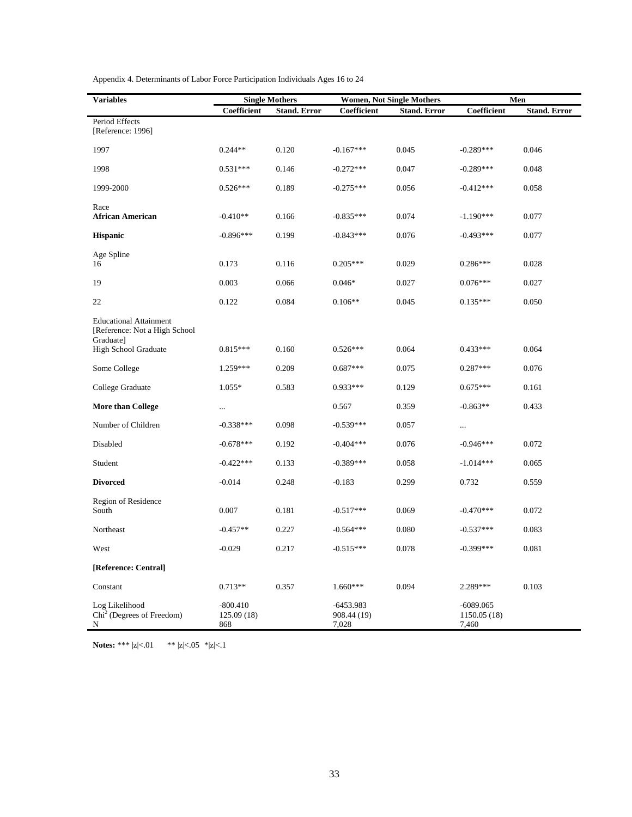| <b>Variables</b>                                                            |                                 | <b>Single Mothers</b> |                                     | <b>Women, Not Single Mothers</b> |                                      | Men                 |
|-----------------------------------------------------------------------------|---------------------------------|-----------------------|-------------------------------------|----------------------------------|--------------------------------------|---------------------|
|                                                                             | Coefficient                     | <b>Stand. Error</b>   | Coefficient                         | <b>Stand. Error</b>              | Coefficient                          | <b>Stand. Error</b> |
| Period Effects<br>[Reference: 1996]                                         |                                 |                       |                                     |                                  |                                      |                     |
| 1997                                                                        | $0.244**$                       | 0.120                 | $-0.167***$                         | 0.045                            | $-0.289***$                          | 0.046               |
| 1998                                                                        | $0.531***$                      | 0.146                 | $-0.272***$                         | 0.047                            | $-0.289***$                          | 0.048               |
| 1999-2000                                                                   | $0.526***$                      | 0.189                 | $-0.275***$                         | 0.056                            | $-0.412***$                          | 0.058               |
| Race<br><b>African American</b>                                             | $-0.410**$                      | 0.166                 | $-0.835***$                         | 0.074                            | $-1.190***$                          | 0.077               |
| <b>Hispanic</b>                                                             | $-0.896***$                     | 0.199                 | $-0.843***$                         | 0.076                            | $-0.493***$                          | 0.077               |
| Age Spline<br>16                                                            | 0.173                           | 0.116                 | $0.205***$                          | 0.029                            | $0.286***$                           | 0.028               |
| 19                                                                          | 0.003                           | 0.066                 | $0.046*$                            | 0.027                            | $0.076***$                           | 0.027               |
| 22                                                                          | 0.122                           | 0.084                 | $0.106**$                           | 0.045                            | $0.135***$                           | 0.050               |
| <b>Educational Attainment</b><br>[Reference: Not a High School<br>Graduate] |                                 |                       |                                     |                                  |                                      |                     |
| High School Graduate                                                        | $0.815***$                      | 0.160                 | $0.526***$                          | 0.064                            | $0.433***$                           | 0.064               |
| Some College                                                                | 1.259***                        | 0.209                 | $0.687***$                          | 0.075                            | $0.287***$                           | 0.076               |
| College Graduate                                                            | $1.055*$                        | 0.583                 | $0.933***$                          | 0.129                            | $0.675***$                           | 0.161               |
| More than College                                                           | $\cdots$                        |                       | 0.567                               | 0.359                            | $-0.863**$                           | 0.433               |
| Number of Children                                                          | $-0.338***$                     | 0.098                 | $-0.539***$                         | 0.057                            | $\cdots$                             |                     |
| Disabled                                                                    | $-0.678***$                     | 0.192                 | $-0.404***$                         | 0.076                            | $-0.946***$                          | 0.072               |
| Student                                                                     | $-0.422***$                     | 0.133                 | $-0.389***$                         | 0.058                            | $-1.014***$                          | 0.065               |
| <b>Divorced</b>                                                             | $-0.014$                        | 0.248                 | $-0.183$                            | 0.299                            | 0.732                                | 0.559               |
| Region of Residence<br>South                                                | 0.007                           | 0.181                 | $-0.517***$                         | 0.069                            | $-0.470***$                          | 0.072               |
| Northeast                                                                   | $-0.457**$                      | 0.227                 | $-0.564***$                         | 0.080                            | $-0.537***$                          | 0.083               |
| West                                                                        | $-0.029$                        | 0.217                 | $-0.515***$                         | 0.078                            | $-0.399***$                          | 0.081               |
| [Reference: Central]                                                        |                                 |                       |                                     |                                  |                                      |                     |
| Constant                                                                    | $0.713**$                       | 0.357                 | $1.660***$                          | 0.094                            | 2.289***                             | 0.103               |
| Log Likelihood<br>$Chi2$ (Degrees of Freedom)<br>N                          | $-800.410$<br>125.09(18)<br>868 |                       | $-6453.983$<br>908.44 (19)<br>7,028 |                                  | $-6089.065$<br>1150.05 (18)<br>7,460 |                     |

Appendix 4. Determinants of Labor Force Participation Individuals Ages 16 to 24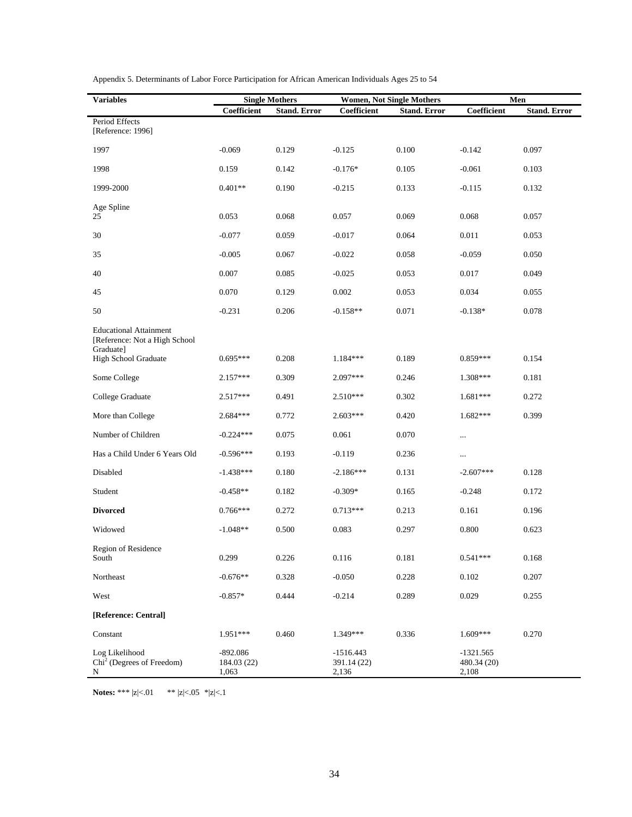| <b>Variables</b>                                                                                    |                                    | <b>Single Mothers</b> |                                     | <b>Women, Not Single Mothers</b> | Men                                 |                     |  |
|-----------------------------------------------------------------------------------------------------|------------------------------------|-----------------------|-------------------------------------|----------------------------------|-------------------------------------|---------------------|--|
|                                                                                                     | Coefficient                        | <b>Stand. Error</b>   | Coefficient                         | <b>Stand. Error</b>              | Coefficient                         | <b>Stand. Error</b> |  |
| Period Effects<br>[Reference: 1996]                                                                 |                                    |                       |                                     |                                  |                                     |                     |  |
| 1997                                                                                                | $-0.069$                           | 0.129                 | $-0.125$                            | 0.100                            | $-0.142$                            | 0.097               |  |
| 1998                                                                                                | 0.159                              | 0.142                 | $-0.176*$                           | 0.105                            | $-0.061$                            | 0.103               |  |
| 1999-2000                                                                                           | $0.401**$                          | 0.190                 | $-0.215$                            | 0.133                            | $-0.115$                            | 0.132               |  |
| Age Spline<br>25                                                                                    | 0.053                              | 0.068                 | 0.057                               | 0.069                            | 0.068                               | 0.057               |  |
| 30                                                                                                  | $-0.077$                           | 0.059                 | $-0.017$                            | 0.064                            | 0.011                               | 0.053               |  |
| 35                                                                                                  | $-0.005$                           | 0.067                 | $-0.022$                            | 0.058                            | $-0.059$                            | 0.050               |  |
| 40                                                                                                  | 0.007                              | 0.085                 | $-0.025$                            | 0.053                            | 0.017                               | 0.049               |  |
| 45                                                                                                  | 0.070                              | 0.129                 | 0.002                               | 0.053                            | 0.034                               | 0.055               |  |
| 50                                                                                                  | $-0.231$                           | 0.206                 | $-0.158**$                          | 0.071                            | $-0.138*$                           | 0.078               |  |
| <b>Educational Attainment</b><br>[Reference: Not a High School<br>Graduate]<br>High School Graduate | $0.695***$                         | 0.208                 | $1.184***$                          | 0.189                            | $0.859***$                          | 0.154               |  |
| Some College                                                                                        | $2.157***$                         | 0.309                 | $2.097***$                          | 0.246                            | 1.308***                            | 0.181               |  |
| College Graduate                                                                                    | $2.517***$                         | 0.491                 | $2.510***$                          | 0.302                            | $1.681***$                          | 0.272               |  |
| More than College                                                                                   | $2.684***$                         | 0.772                 | $2.603***$                          | 0.420                            | $1.682***$                          | 0.399               |  |
| Number of Children                                                                                  | $-0.224***$                        | 0.075                 | 0.061                               | 0.070                            | $\cdots$                            |                     |  |
| Has a Child Under 6 Years Old                                                                       | $-0.596***$                        | 0.193                 | $-0.119$                            | 0.236                            | $\cdots$                            |                     |  |
| Disabled                                                                                            | $-1.438***$                        | 0.180                 | $-2.186***$                         | 0.131                            | $-2.607***$                         | 0.128               |  |
| Student                                                                                             | $-0.458**$                         | 0.182                 | $-0.309*$                           | 0.165                            | $-0.248$                            | 0.172               |  |
| <b>Divorced</b>                                                                                     | $0.766***$                         | 0.272                 | $0.713***$                          | 0.213                            | 0.161                               | 0.196               |  |
| Widowed                                                                                             | $-1.048**$                         | 0.500                 | 0.083                               | 0.297                            | 0.800                               | 0.623               |  |
| Region of Residence<br>South                                                                        | 0.299                              | 0.226                 | $0.116\,$                           | 0.181                            | $0.541***$                          | 0.168               |  |
| Northeast                                                                                           | $-0.676**$                         | 0.328                 | $-0.050$                            | 0.228                            | 0.102                               | 0.207               |  |
| West                                                                                                | $-0.857*$                          | 0.444                 | $-0.214$                            | 0.289                            | 0.029                               | 0.255               |  |
| [Reference: Central]                                                                                |                                    |                       |                                     |                                  |                                     |                     |  |
| Constant                                                                                            | 1.951***                           | 0.460                 | 1.349***                            | 0.336                            | $1.609***$                          | 0.270               |  |
| Log Likelihood<br>$Chi2$ (Degrees of Freedom)<br>Ν                                                  | $-892.086$<br>184.03 (22)<br>1,063 |                       | $-1516.443$<br>391.14 (22)<br>2,136 |                                  | $-1321.565$<br>480.34 (20)<br>2,108 |                     |  |

Appendix 5. Determinants of Labor Force Participation for African American Individuals Ages 25 to 54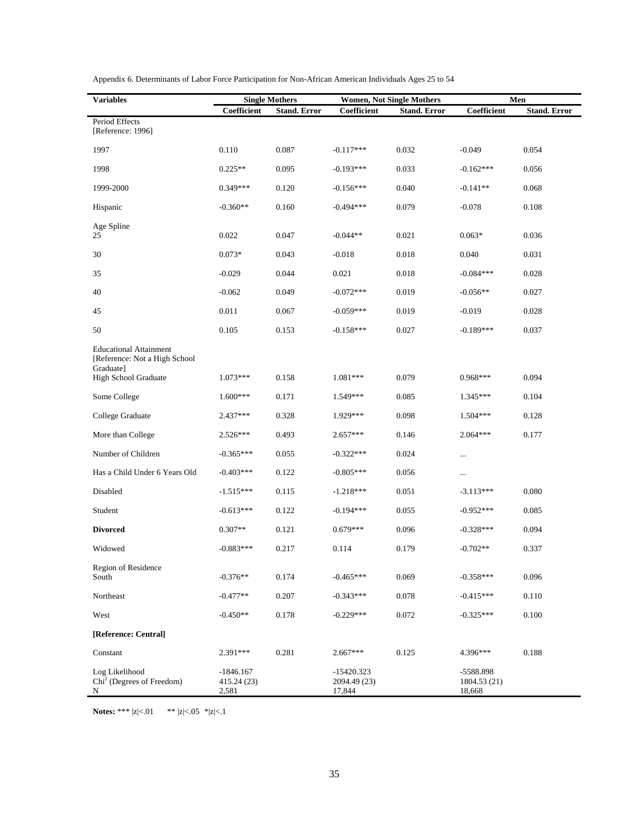| <b>Variables</b>                                                            | <b>Single Mothers</b>               |                     | <b>Women, Not Single Mothers</b>     |                     | Men                                 |                     |
|-----------------------------------------------------------------------------|-------------------------------------|---------------------|--------------------------------------|---------------------|-------------------------------------|---------------------|
|                                                                             | Coefficient                         | <b>Stand. Error</b> | Coefficient                          | <b>Stand. Error</b> | Coefficient                         | <b>Stand. Error</b> |
| Period Effects<br>[Reference: 1996]                                         |                                     |                     |                                      |                     |                                     |                     |
| 1997                                                                        | 0.110                               | 0.087               | $-0.117***$                          | 0.032               | $-0.049$                            | 0.054               |
| 1998                                                                        | $0.225**$                           | 0.095               | $-0.193***$                          | 0.033               | $-0.162***$                         | 0.056               |
| 1999-2000                                                                   | $0.349***$                          | 0.120               | $-0.156***$                          | 0.040               | $-0.141**$                          | 0.068               |
| Hispanic                                                                    | $-0.360**$                          | 0.160               | $-0.494***$                          | 0.079               | $-0.078$                            | 0.108               |
| Age Spline                                                                  |                                     |                     |                                      |                     |                                     |                     |
| 25                                                                          | 0.022                               | 0.047               | $-0.044**$                           | 0.021               | $0.063*$                            | 0.036               |
| $30\,$                                                                      | $0.073*$                            | 0.043               | $-0.018$                             | 0.018               | 0.040                               | 0.031               |
| 35                                                                          | $-0.029$                            | 0.044               | 0.021                                | 0.018               | $-0.084***$                         | 0.028               |
| 40                                                                          | $-0.062$                            | 0.049               | $-0.072***$                          | 0.019               | $-0.056**$                          | 0.027               |
| 45                                                                          | 0.011                               | 0.067               | $-0.059***$                          | 0.019               | $-0.019$                            | 0.028               |
| 50                                                                          | 0.105                               | 0.153               | $-0.158***$                          | 0.027               | $-0.189***$                         | 0.037               |
| <b>Educational Attainment</b><br>[Reference: Not a High School<br>Graduate] |                                     |                     |                                      |                     |                                     |                     |
| High School Graduate                                                        | $1.073***$                          | 0.158               | $1.081***$                           | 0.079               | $0.968***$                          | 0.094               |
| Some College                                                                | $1.600***$                          | 0.171               | 1.549***                             | 0.085               | $1.345***$                          | 0.104               |
| College Graduate                                                            | 2.437***                            | 0.328               | 1.929***                             | 0.098               | $1.504***$                          | 0.128               |
| More than College                                                           | $2.526***$                          | 0.493               | $2.657***$                           | 0.146               | $2.064***$                          | 0.177               |
| Number of Children                                                          | $-0.365***$                         | 0.055               | $-0.322***$                          | 0.024               |                                     |                     |
| Has a Child Under 6 Years Old                                               | $-0.403***$                         | 0.122               | $-0.805***$                          | 0.056               |                                     |                     |
| Disabled                                                                    | $-1.515***$                         | 0.115               | $-1.218***$                          | 0.051               | $-3.113***$                         | 0.080               |
| Student                                                                     | $-0.613***$                         | 0.122               | $-0.194***$                          | 0.055               | $-0.952***$                         | 0.085               |
| <b>Divorced</b>                                                             | $0.307**$                           | 0.121               | $0.679***$                           | 0.096               | $-0.328***$                         | 0.094               |
| Widowed                                                                     | $-0.883***$                         | 0.217               | 0.114                                | 0.179               | $-0.702**$                          | 0.337               |
| Region of Residence<br>South                                                | $-0.376**$                          | 0.174               | $-0.465***$                          | 0.069               | $-0.358***$                         | 0.096               |
| Northeast                                                                   | $-0.477**$                          | 0.207               | $-0.343***$                          | 0.078               | $-0.415***$                         | 0.110               |
| West                                                                        | $-0.450**$                          | 0.178               | $-0.229***$                          | 0.072               | $-0.325***$                         | 0.100               |
| [Reference: Central]                                                        |                                     |                     |                                      |                     |                                     |                     |
| Constant                                                                    | 2.391***                            | 0.281               | $2.667***$                           | 0.125               | 4.396***                            | 0.188               |
| Log Likelihood<br>Chi <sup>2</sup> (Degrees of Freedom)<br>N                | $-1846.167$<br>415.24 (23)<br>2,581 |                     | -15420.323<br>2094.49 (23)<br>17,844 |                     | -5588.898<br>1804.53 (21)<br>18,668 |                     |

Appendix 6. Determinants of Labor Force Participation for Non-African American Individuals Ages 25 to 54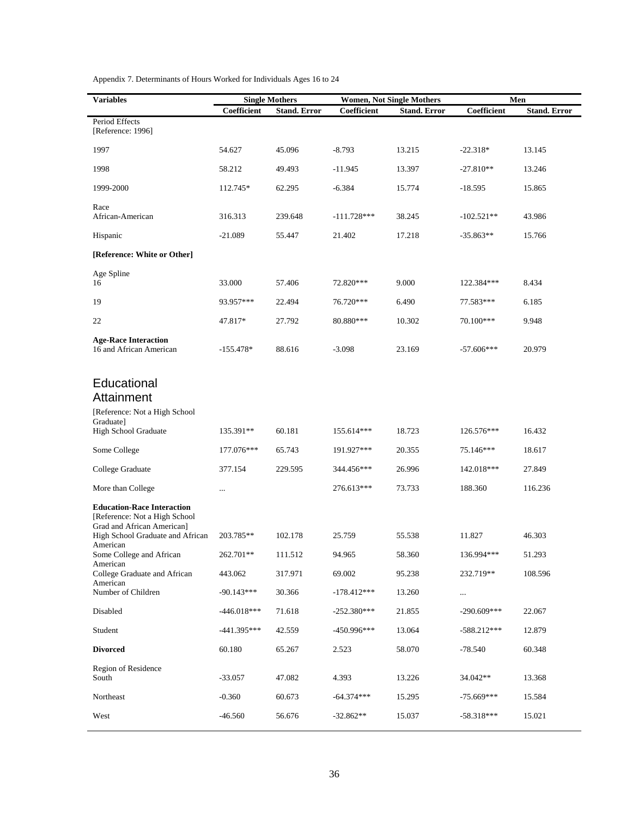| <b>Variables</b>                                                                                  | <b>Single Mothers</b> |                     | <b>Women, Not Single Mothers</b> |                     | Men                |                     |
|---------------------------------------------------------------------------------------------------|-----------------------|---------------------|----------------------------------|---------------------|--------------------|---------------------|
|                                                                                                   | Coefficient           | <b>Stand. Error</b> | Coefficient                      | <b>Stand. Error</b> | <b>Coefficient</b> | <b>Stand. Error</b> |
| Period Effects<br>[Reference: 1996]                                                               |                       |                     |                                  |                     |                    |                     |
| 1997                                                                                              | 54.627                | 45.096              | $-8.793$                         | 13.215              | $-22.318*$         | 13.145              |
| 1998                                                                                              | 58.212                | 49.493              | $-11.945$                        | 13.397              | $-27.810**$        | 13.246              |
| 1999-2000                                                                                         | 112.745*              | 62.295              | $-6.384$                         | 15.774              | $-18.595$          | 15.865              |
| Race<br>African-American                                                                          | 316.313               | 239.648             | $-111.728***$                    | 38.245              | $-102.521**$       | 43.986              |
| Hispanic                                                                                          | $-21.089$             | 55.447              | 21.402                           | 17.218              | $-35.863**$        | 15.766              |
| [Reference: White or Other]                                                                       |                       |                     |                                  |                     |                    |                     |
| Age Spline<br>16                                                                                  | 33.000                | 57.406              | 72.820***                        | 9.000               | 122.384***         | 8.434               |
| 19                                                                                                | 93.957***             | 22.494              | 76.720***                        | 6.490               | 77.583***          | 6.185               |
| 22                                                                                                | 47.817*               | 27.792              | 80.880***                        | 10.302              | 70.100***          | 9.948               |
| <b>Age-Race Interaction</b><br>16 and African American                                            | $-155.478*$           | 88.616              | $-3.098$                         | 23.169              | $-57.606***$       | 20.979              |
| Educational<br>Attainment<br>[Reference: Not a High School                                        |                       |                     |                                  |                     |                    |                     |
| Graduate]<br>High School Graduate                                                                 | 135.391**             | 60.181              | 155.614***                       | 18.723              | 126.576***         | 16.432              |
| Some College                                                                                      | 177.076***            | 65.743              | 191.927***                       | 20.355              | 75.146***          | 18.617              |
| College Graduate                                                                                  | 377.154               | 229.595             | 344.456***                       | 26.996              | 142.018***         | 27.849              |
| More than College                                                                                 | $\ldots$              |                     | 276.613***                       | 73.733              | 188.360            | 116.236             |
| <b>Education-Race Interaction</b><br>[Reference: Not a High School]<br>Grad and African American] |                       |                     |                                  |                     |                    |                     |
| High School Graduate and African<br>American                                                      | 203.785**             | 102.178             | 25.759                           | 55.538              | 11.827             | 46.303              |
| Some College and African<br>American                                                              | 262.701**             | 111.512             | 94.965                           | 58.360              | 136.994***         | 51.293              |
| College Graduate and African<br>American                                                          | 443.062               | 317.971             | 69.002                           | 95.238              | 232.719**          | 108.596             |
| Number of Children                                                                                | $-90.143***$          | 30.366              | $-178.412***$                    | 13.260              | $\cdots$           |                     |
| Disabled                                                                                          | $-446.018***$         | 71.618              | $-252.380***$                    | 21.855              | $-290.609***$      | 22.067              |
| Student                                                                                           | $-441.395***$         | 42.559              | $-450.996***$                    | 13.064              | $-588.212***$      | 12.879              |
| <b>Divorced</b>                                                                                   | 60.180                | 65.267              | 2.523                            | 58.070              | $-78.540$          | 60.348              |
| Region of Residence<br>South                                                                      | $-33.057$             | 47.082              | 4.393                            | 13.226              | 34.042**           | 13.368              |
| Northeast                                                                                         | $-0.360$              | 60.673              | $-64.374***$                     | 15.295              | $-75.669***$       | 15.584              |
| West                                                                                              | $-46.560$             | 56.676              | $-32.862**$                      | 15.037              | $-58.318***$       | 15.021              |

Appendix 7. Determinants of Hours Worked for Individuals Ages 16 to 24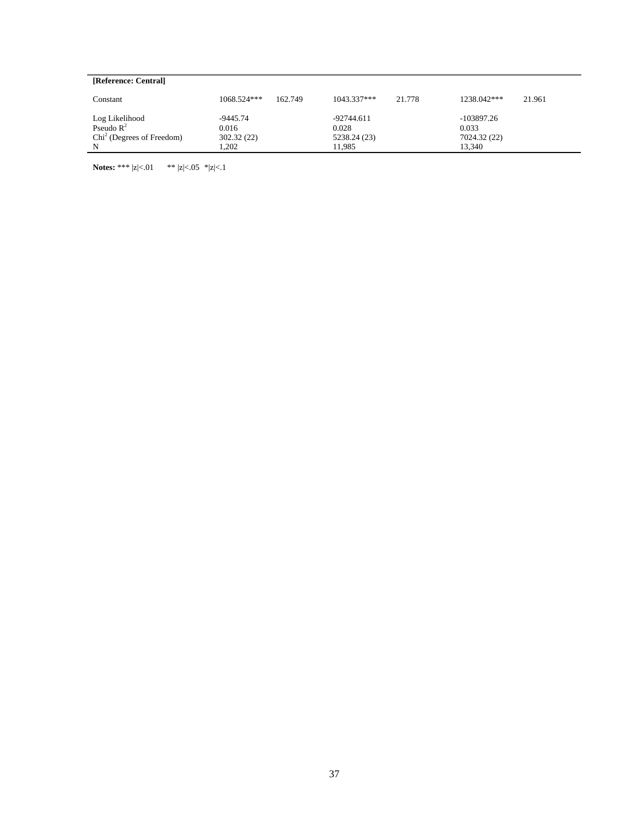| [Reference: Central]        |                          |                         |                       |
|-----------------------------|--------------------------|-------------------------|-----------------------|
| Constant                    | $1068.524***$<br>162.749 | $1043.337***$<br>21.778 | 1238.042***<br>21.961 |
| Log Likelihood              | $-9445.74$               | $-92744.611$            | $-103897.26$          |
| Pseudo $\mathbb{R}^2$       | 0.016                    | 0.028                   | 0.033                 |
| $Chi2$ (Degrees of Freedom) | 302.32(22)               | 5238.24 (23)            | 7024.32 (22)          |
| N                           | 1.202                    | 11.985                  | 13.340                |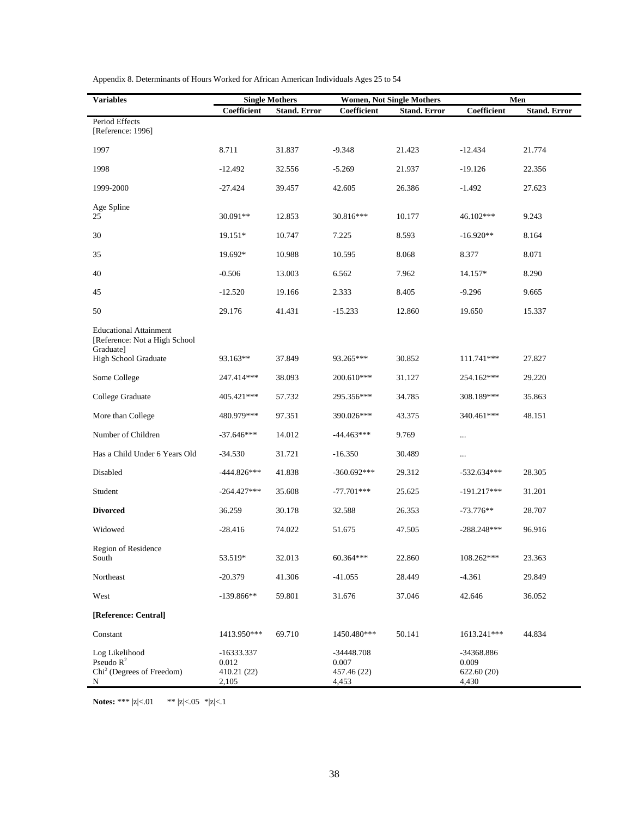| <b>Variables</b>                                                             | <b>Single Mothers</b>                       |                     | <b>Women, Not Single Mothers</b>              |                     | Men                                         |                     |
|------------------------------------------------------------------------------|---------------------------------------------|---------------------|-----------------------------------------------|---------------------|---------------------------------------------|---------------------|
|                                                                              | Coefficient                                 | <b>Stand. Error</b> | Coefficient                                   | <b>Stand. Error</b> | Coefficient                                 | <b>Stand. Error</b> |
| Period Effects<br>[Reference: 1996]                                          |                                             |                     |                                               |                     |                                             |                     |
| 1997                                                                         | 8.711                                       | 31.837              | $-9.348$                                      | 21.423              | $-12.434$                                   | 21.774              |
| 1998                                                                         | $-12.492$                                   | 32.556              | $-5.269$                                      | 21.937              | $-19.126$                                   | 22.356              |
| 1999-2000                                                                    | $-27.424$                                   | 39.457              | 42.605                                        | 26.386              | $-1.492$                                    | 27.623              |
| Age Spline<br>25                                                             | 30.091**                                    | 12.853              | 30.816***                                     | 10.177              | 46.102***                                   | 9.243               |
| 30                                                                           | 19.151*                                     | 10.747              | 7.225                                         | 8.593               | $-16.920**$                                 | 8.164               |
| 35                                                                           | 19.692*                                     | 10.988              | 10.595                                        | 8.068               | 8.377                                       | 8.071               |
| 40                                                                           | $-0.506$                                    | 13.003              | 6.562                                         | 7.962               | 14.157*                                     | 8.290               |
| 45                                                                           | $-12.520$                                   | 19.166              | 2.333                                         | 8.405               | $-9.296$                                    | 9.665               |
| 50                                                                           | 29.176                                      | 41.431              | $-15.233$                                     | 12.860              | 19.650                                      | 15.337              |
| <b>Educational Attainment</b><br>[Reference: Not a High School<br>Graduate]  |                                             |                     |                                               |                     |                                             |                     |
| High School Graduate                                                         | 93.163**                                    | 37.849              | 93.265***                                     | 30.852              | 111.741***                                  | 27.827              |
| Some College                                                                 | 247.414***                                  | 38.093              | 200.610***                                    | 31.127              | 254.162***                                  | 29.220              |
| College Graduate                                                             | 405.421***                                  | 57.732              | 295.356***                                    | 34.785              | 308.189***                                  | 35.863              |
| More than College                                                            | 480.979***                                  | 97.351              | 390.026***                                    | 43.375              | 340.461***                                  | 48.151              |
| Number of Children                                                           | $-37.646***$                                | 14.012              | $-44.463***$                                  | 9.769               | $\cdots$                                    |                     |
| Has a Child Under 6 Years Old                                                | $-34.530$                                   | 31.721              | $-16.350$                                     | 30.489              |                                             |                     |
| Disabled                                                                     | $-444.826***$                               | 41.838              | $-360.692***$                                 | 29.312              | $-532.634***$                               | 28.305              |
| Student                                                                      | $-264.427***$                               | 35.608              | $-77.701***$                                  | 25.625              | $-191.217***$                               | 31.201              |
| <b>Divorced</b>                                                              | 36.259                                      | 30.178              | 32.588                                        | 26.353              | $-73.776**$                                 | 28.707              |
| Widowed                                                                      | $-28.416$                                   | 74.022              | 51.675                                        | 47.505              | $-288.248***$                               | 96.916              |
| Region of Residence<br>South                                                 | 53.519*                                     | 32.013              | 60.364***                                     | 22.860              | 108.262***                                  | 23.363              |
| Northeast                                                                    | $-20.379$                                   | 41.306              | $-41.055$                                     | 28.449              | $-4.361$                                    | 29.849              |
| West                                                                         | $-139.866**$                                | 59.801              | 31.676                                        | 37.046              | 42.646                                      | 36.052              |
| [Reference: Central]                                                         |                                             |                     |                                               |                     |                                             |                     |
| Constant                                                                     | 1413.950***                                 | 69.710              | 1450.480***                                   | 50.141              | 1613.241***                                 | 44.834              |
| Log Likelihood<br>Pseudo $R^2$<br>Chi <sup>2</sup> (Degrees of Freedom)<br>N | -16333.337<br>0.012<br>410.21 (22)<br>2,105 |                     | $-34448.708$<br>0.007<br>457.46 (22)<br>4,453 |                     | -34368.886<br>0.009<br>622.60 (20)<br>4,430 |                     |

Appendix 8. Determinants of Hours Worked for African American Individuals Ages 25 to 54